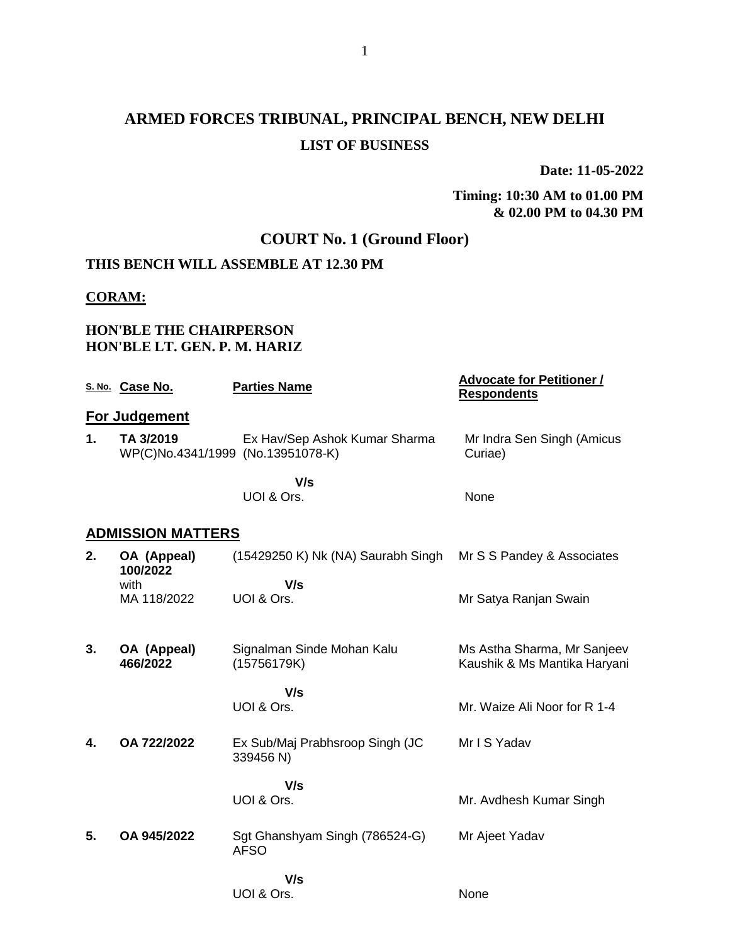# **ARMED FORCES TRIBUNAL, PRINCIPAL BENCH, NEW DELHI LIST OF BUSINESS**

**Date: 11-05-2022**

#### **Timing: 10:30 AM to 01.00 PM & 02.00 PM to 04.30 PM**

## **COURT No. 1 (Ground Floor)**

## **THIS BENCH WILL ASSEMBLE AT 12.30 PM**

#### **CORAM:**

#### **HON'BLE THE CHAIRPERSON HON'BLE LT. GEN. P. M. HARIZ**

|               | S. No. Case No.          | <b>Parties Name</b>                                                | <b>Advocate for Petitioner /</b><br><b>Respondents</b> |
|---------------|--------------------------|--------------------------------------------------------------------|--------------------------------------------------------|
|               | For Judgement            |                                                                    |                                                        |
| $\mathbf 1$ . | TA 3/2019                | Ex Hav/Sep Ashok Kumar Sharma<br>WP(C)No.4341/1999 (No.13951078-K) | Mr Indra Sen Singh (Amicus<br>Curiae)                  |
|               |                          | V/s                                                                |                                                        |
|               |                          | UOI & Ors.                                                         | None                                                   |
|               | <b>ADMISSION MATTERS</b> |                                                                    |                                                        |
| 2.            | OA (Appeal)<br>100/2022  | (15429250 K) Nk (NA) Saurabh Singh                                 | Mr S S Pandey & Associates                             |
|               | with<br>MA 118/2022      | V/s<br>UOI & Ors.                                                  | Mr Satya Ranjan Swain                                  |
|               |                          |                                                                    |                                                        |
| 3.            | OA (Appeal)              | Signalman Sinde Mohan Kalu                                         | Ms Astha Sharma, Mr Sanjeev                            |
|               | 466/2022                 | (15756179K)                                                        | Kaushik & Ms Mantika Haryani                           |
|               |                          | V/s                                                                |                                                        |
|               |                          | UOI & Ors.                                                         | Mr. Waize Ali Noor for R 1-4                           |
|               |                          |                                                                    |                                                        |
| 4.            | OA 722/2022              | Ex Sub/Maj Prabhsroop Singh (JC<br>339456 N)                       | Mr I S Yadav                                           |
|               |                          | V/s                                                                |                                                        |
|               |                          | UOI & Ors.                                                         | Mr. Avdhesh Kumar Singh                                |
| 5.            | OA 945/2022              | Sgt Ghanshyam Singh (786524-G)                                     | Mr Ajeet Yadav                                         |
|               |                          | <b>AFSO</b>                                                        |                                                        |
|               |                          | V/s                                                                |                                                        |
|               |                          | UOI & Ors.                                                         | None                                                   |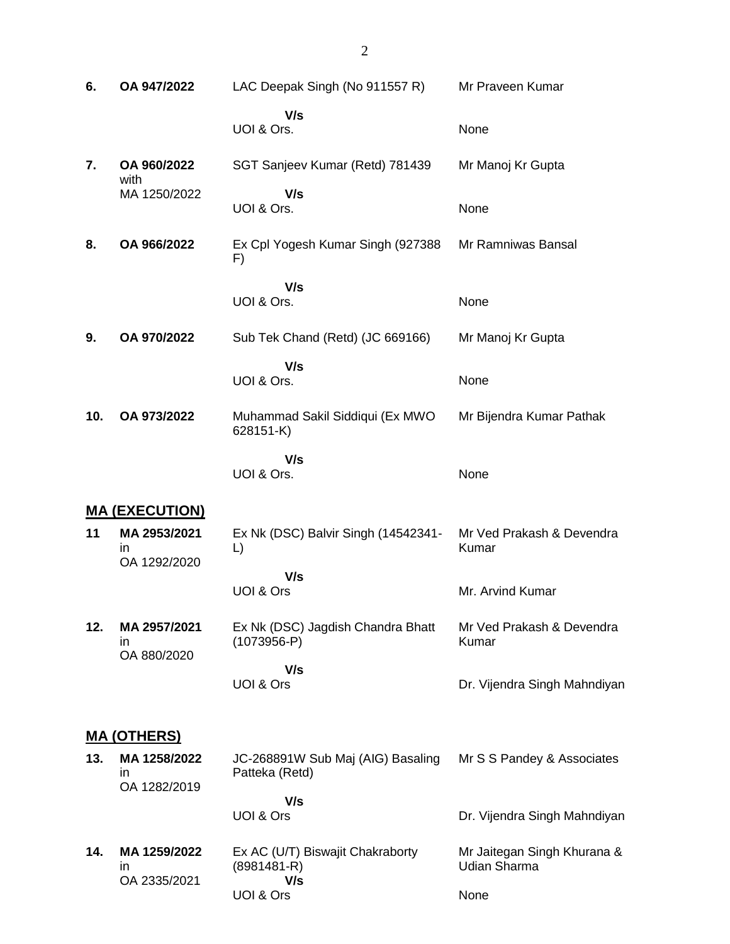| 6.  | OA 947/2022                         | LAC Deepak Singh (No 911557 R)                             | Mr Praveen Kumar                                   |
|-----|-------------------------------------|------------------------------------------------------------|----------------------------------------------------|
|     |                                     | V/s<br>UOI & Ors.                                          | None                                               |
| 7.  | OA 960/2022<br>with                 | SGT Sanjeev Kumar (Retd) 781439                            | Mr Manoj Kr Gupta                                  |
|     | MA 1250/2022                        | V/s<br>UOI & Ors.                                          | None                                               |
| 8.  | OA 966/2022                         | Ex Cpl Yogesh Kumar Singh (927388<br>F)                    | Mr Ramniwas Bansal                                 |
|     |                                     | V/s<br>UOI & Ors.                                          | None                                               |
| 9.  | OA 970/2022                         | Sub Tek Chand (Retd) (JC 669166)                           | Mr Manoj Kr Gupta                                  |
|     |                                     | V/s<br>UOI & Ors.                                          | None                                               |
| 10. | OA 973/2022                         | Muhammad Sakil Siddiqui (Ex MWO<br>628151-K)               | Mr Bijendra Kumar Pathak                           |
|     |                                     | V/s<br>UOI & Ors.                                          | None                                               |
|     | <u>MA (EXECUTION)</u>               |                                                            |                                                    |
| 11  | MA 2953/2021<br>in<br>OA 1292/2020  | Ex Nk (DSC) Balvir Singh (14542341-<br>$\Box$              | Mr Ved Prakash & Devendra<br>Kumar                 |
|     |                                     | V/s<br>UOI & Ors                                           | Mr. Arvind Kumar                                   |
| 12. | MA 2957/2021<br>ın<br>OA 880/2020   | Ex Nk (DSC) Jagdish Chandra Bhatt<br>$(1073956-P)$         | Mr Ved Prakash & Devendra<br>Kumar                 |
|     |                                     | V/s<br>UOI & Ors                                           | Dr. Vijendra Singh Mahndiyan                       |
|     | <b>MA (OTHERS)</b>                  |                                                            |                                                    |
| 13. | MA 1258/2022<br>in.<br>OA 1282/2019 | JC-268891W Sub Maj (AIG) Basaling<br>Patteka (Retd)        | Mr S S Pandey & Associates                         |
|     |                                     | V/s<br>UOI & Ors                                           | Dr. Vijendra Singh Mahndiyan                       |
| 14. | MA 1259/2022<br>in<br>OA 2335/2021  | Ex AC (U/T) Biswajit Chakraborty<br>$(8981481 - R)$<br>V/s | Mr Jaitegan Singh Khurana &<br><b>Udian Sharma</b> |
|     |                                     | UOI & Ors                                                  | None                                               |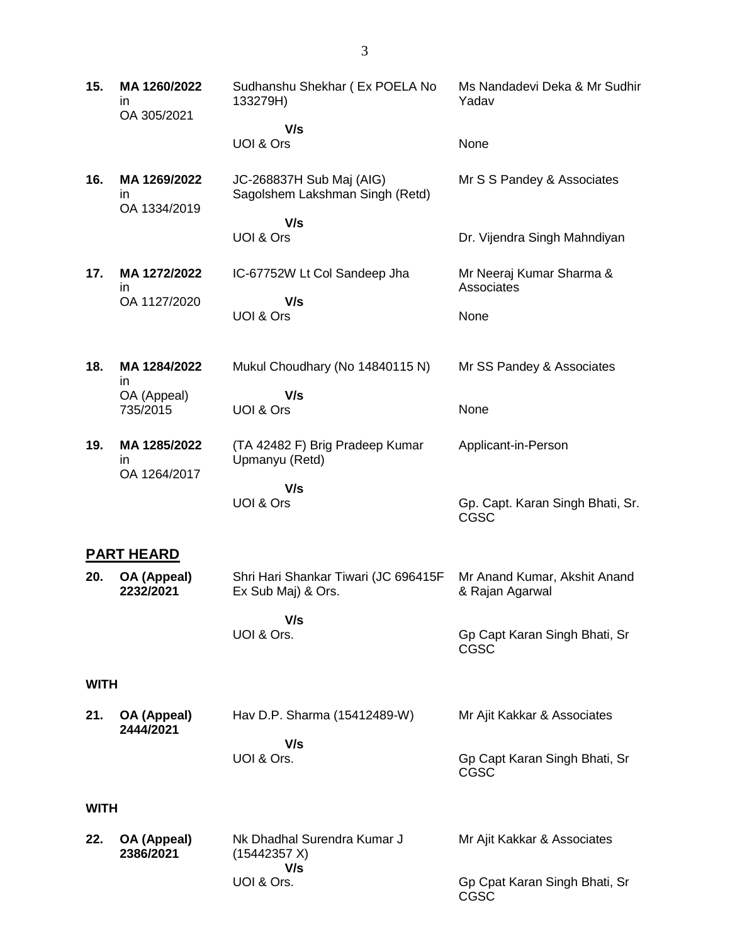| 15.         | MA 1260/2022<br>in<br>OA 305/2021  | Sudhanshu Shekhar (Ex POELA No<br>133279H)                  | Ms Nandadevi Deka & Mr Sudhir<br>Yadav          |
|-------------|------------------------------------|-------------------------------------------------------------|-------------------------------------------------|
|             |                                    | V/s                                                         |                                                 |
|             |                                    | UOI & Ors                                                   | None                                            |
| 16.         | MA 1269/2022<br>in<br>OA 1334/2019 | JC-268837H Sub Maj (AIG)<br>Sagolshem Lakshman Singh (Retd) | Mr S S Pandey & Associates                      |
|             |                                    | V/s<br>UOI & Ors                                            | Dr. Vijendra Singh Mahndiyan                    |
| 17.         | MA 1272/2022<br>ın                 | IC-67752W Lt Col Sandeep Jha                                | Mr Neeraj Kumar Sharma &<br>Associates          |
|             | OA 1127/2020                       | V/s<br>UOI & Ors                                            | None                                            |
| 18.         | MA 1284/2022<br>in                 | Mukul Choudhary (No 14840115 N)                             | Mr SS Pandey & Associates                       |
|             | OA (Appeal)<br>735/2015            | V/s<br>UOI & Ors                                            | None                                            |
| 19.         | MA 1285/2022<br>in                 | (TA 42482 F) Brig Pradeep Kumar<br>Upmanyu (Retd)           | Applicant-in-Person                             |
|             | OA 1264/2017                       | V/s                                                         |                                                 |
|             |                                    | UOI & Ors                                                   | Gp. Capt. Karan Singh Bhati, Sr.<br><b>CGSC</b> |
|             | <b>PART HEARD</b>                  |                                                             |                                                 |
| 20.         | OA (Appeal)<br>2232/2021           | Shri Hari Shankar Tiwari (JC 696415F<br>Ex Sub Maj) & Ors.  | Mr Anand Kumar, Akshit Anand<br>& Rajan Agarwal |
|             |                                    | V/s                                                         |                                                 |
|             |                                    | UOI & Ors.                                                  | Gp Capt Karan Singh Bhati, Sr<br>CGSC           |
| <b>WITH</b> |                                    |                                                             |                                                 |
| 21.         | OA (Appeal)<br>2444/2021           | Hav D.P. Sharma (15412489-W)                                | Mr Ajit Kakkar & Associates                     |
|             |                                    | V/s<br>UOI & Ors.                                           | Gp Capt Karan Singh Bhati, Sr<br><b>CGSC</b>    |
| <b>WITH</b> |                                    |                                                             |                                                 |
| 22.         | OA (Appeal)<br>2386/2021           | Nk Dhadhal Surendra Kumar J<br>(15442357 X)<br>V/s          | Mr Ajit Kakkar & Associates                     |

Gp Cpat Karan Singh Bhati, Sr

CGSC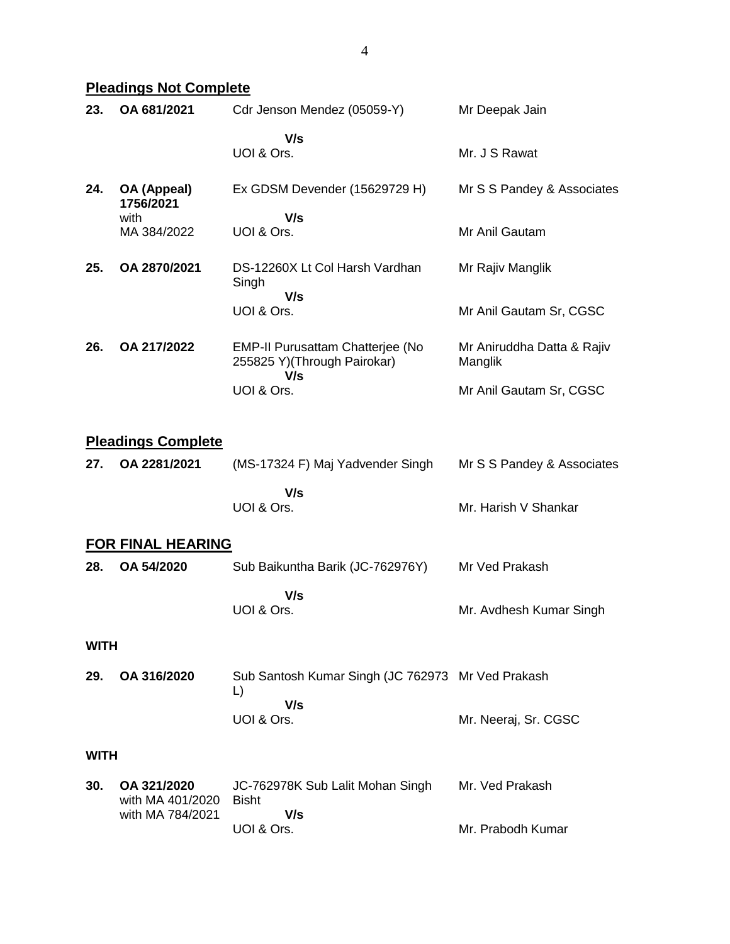**Pleadings Not Complete**

| 23.         | OA 681/2021                     | Cdr Jenson Mendez (05059-Y)                                     | Mr Deepak Jain                        |
|-------------|---------------------------------|-----------------------------------------------------------------|---------------------------------------|
|             |                                 | V/s<br>UOI & Ors.                                               | Mr. J S Rawat                         |
| 24.         | OA (Appeal)<br>1756/2021        | Ex GDSM Devender (15629729 H)                                   | Mr S S Pandey & Associates            |
|             | with<br>MA 384/2022             | V/s<br>UOI & Ors.                                               | Mr Anil Gautam                        |
| 25.         | OA 2870/2021                    | DS-12260X Lt Col Harsh Vardhan<br>Singh                         | Mr Rajiv Manglik                      |
|             |                                 | V/s<br>UOI & Ors.                                               | Mr Anil Gautam Sr, CGSC               |
| 26.         | OA 217/2022                     | EMP-II Purusattam Chatterjee (No<br>255825 Y)(Through Pairokar) | Mr Aniruddha Datta & Rajiv<br>Manglik |
|             |                                 | V/s<br>UOI & Ors.                                               | Mr Anil Gautam Sr, CGSC               |
|             | <b>Pleadings Complete</b>       |                                                                 |                                       |
| 27.         | OA 2281/2021                    | (MS-17324 F) Maj Yadvender Singh                                | Mr S S Pandey & Associates            |
|             |                                 | V/s<br>UOI & Ors.                                               | Mr. Harish V Shankar                  |
|             | <b>FOR FINAL HEARING</b>        |                                                                 |                                       |
| 28.         | OA 54/2020                      | Sub Baikuntha Barik (JC-762976Y)                                | Mr Ved Prakash                        |
|             |                                 | V/s<br>UOI & Ors.                                               | Mr. Avdhesh Kumar Singh               |
| <b>WITH</b> |                                 |                                                                 |                                       |
| 29.         | OA 316/2020                     | Sub Santosh Kumar Singh (JC 762973 Mr Ved Prakash<br>L)         |                                       |
|             |                                 | V/s<br>UOI & Ors.                                               | Mr. Neeraj, Sr. CGSC                  |
| <b>WITH</b> |                                 |                                                                 |                                       |
| 30.         | OA 321/2020<br>with MA 401/2020 | JC-762978K Sub Lalit Mohan Singh<br><b>Bisht</b>                | Mr. Ved Prakash                       |
|             | with MA 784/2021                | V/s                                                             |                                       |

Mr. Prabodh Kumar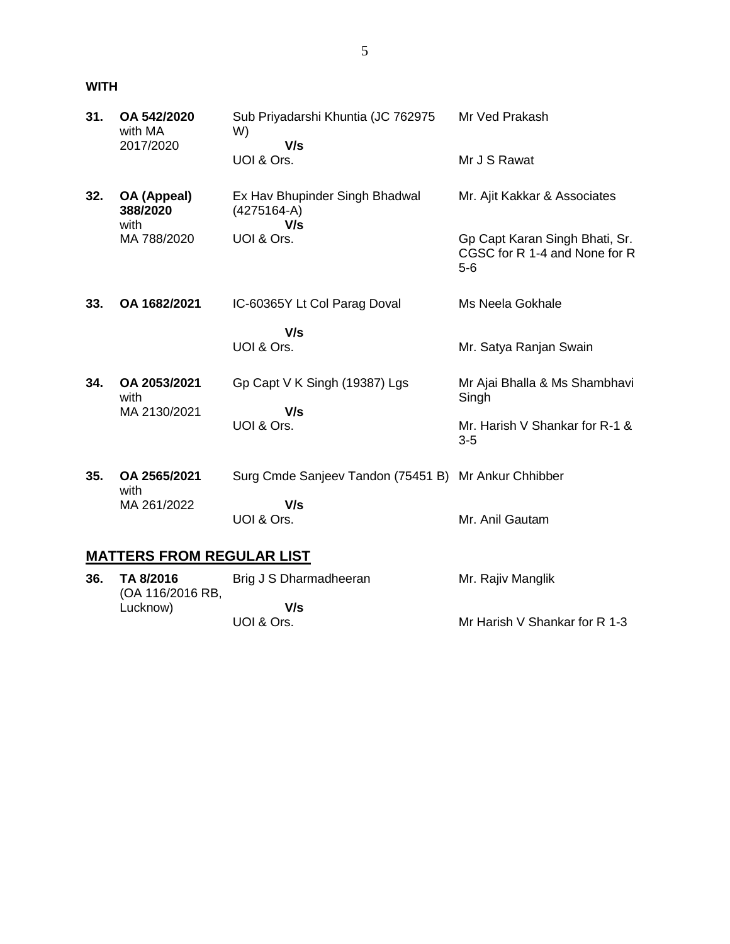**WITH**

(OA 116/2016 RB,

Lucknow)

| 31. | OA 542/2020<br>with MA<br>2017/2020 | Sub Priyadarshi Khuntia (JC 762975<br>W)<br>V/s        | Mr Ved Prakash                                                           |
|-----|-------------------------------------|--------------------------------------------------------|--------------------------------------------------------------------------|
|     |                                     | UOI & Ors.                                             | Mr J S Rawat                                                             |
| 32. | OA (Appeal)<br>388/2020<br>with     | Ex Hav Bhupinder Singh Bhadwal<br>$(4275164-A)$<br>V/s | Mr. Ajit Kakkar & Associates                                             |
|     | MA 788/2020                         | UOI & Ors.                                             | Gp Capt Karan Singh Bhati, Sr.<br>CGSC for R 1-4 and None for R<br>$5-6$ |
| 33. | OA 1682/2021                        | IC-60365Y Lt Col Parag Doval                           | Ms Neela Gokhale                                                         |
|     |                                     | V/s                                                    |                                                                          |
|     |                                     | UOI & Ors.                                             | Mr. Satya Ranjan Swain                                                   |
| 34. | OA 2053/2021<br>with                | Gp Capt V K Singh (19387) Lgs                          | Mr Ajai Bhalla & Ms Shambhavi<br>Singh                                   |
|     | MA 2130/2021                        | V/s                                                    |                                                                          |
|     |                                     | UOI & Ors.                                             | Mr. Harish V Shankar for R-1 &<br>$3-5$                                  |
| 35. | OA 2565/2021<br>with                | Surg Cmde Sanjeev Tandon (75451 B) Mr Ankur Chhibber   |                                                                          |
|     | MA 261/2022                         | V/s<br>UOI & Ors.                                      | Mr. Anil Gautam                                                          |
|     | <b>MATTERS FROM REGULAR LIST</b>    |                                                        |                                                                          |
| 36. | TA 8/2016                           | Brig J S Dharmadheeran                                 | Mr. Rajiv Manglik                                                        |

Mr Harish V Shankar for R 1-3

 **V/s**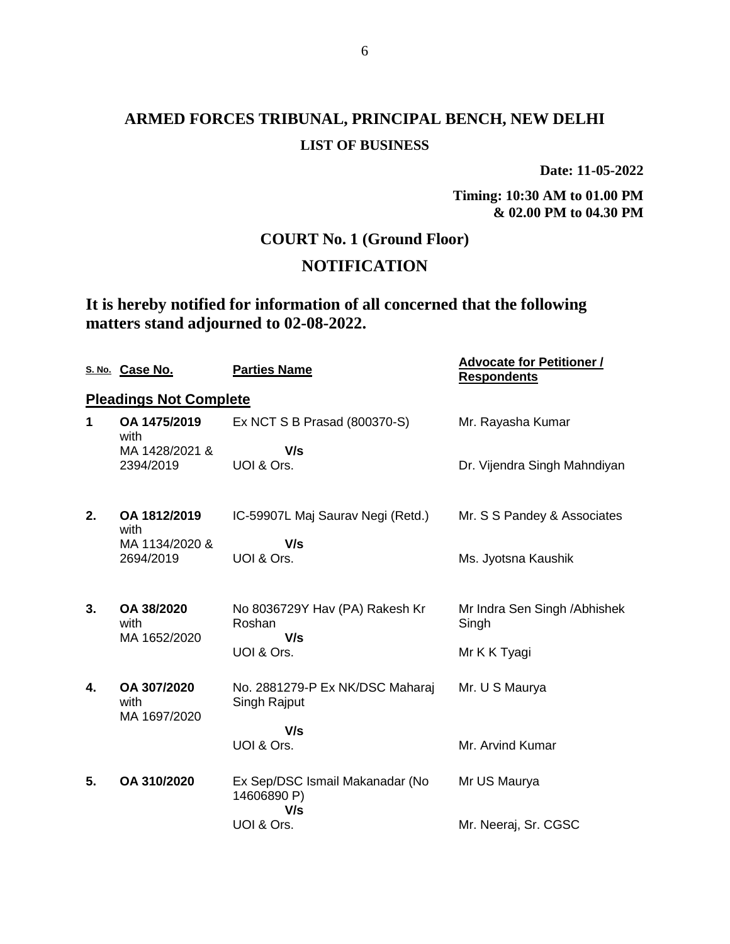# **ARMED FORCES TRIBUNAL, PRINCIPAL BENCH, NEW DELHI LIST OF BUSINESS**

**Date: 11-05-2022**

**Timing: 10:30 AM to 01.00 PM & 02.00 PM to 04.30 PM**

## **COURT No. 1 (Ground Floor)**

## **NOTIFICATION**

## **It is hereby notified for information of all concerned that the following matters stand adjourned to 02-08-2022.**

|    | S. No. Case No.                     | <b>Parties Name</b>                                   | <b>Advocate for Petitioner /</b><br><b>Respondents</b> |
|----|-------------------------------------|-------------------------------------------------------|--------------------------------------------------------|
|    | <b>Pleadings Not Complete</b>       |                                                       |                                                        |
| 1  | OA 1475/2019<br>with                | Ex NCT S B Prasad (800370-S)                          | Mr. Rayasha Kumar                                      |
|    | MA 1428/2021 &                      | V/s                                                   |                                                        |
|    | 2394/2019                           | UOI & Ors.                                            | Dr. Vijendra Singh Mahndiyan                           |
| 2. | OA 1812/2019<br>with                | IC-59907L Maj Saurav Negi (Retd.)                     | Mr. S S Pandey & Associates                            |
|    | MA 1134/2020 &<br>2694/2019         | V/s<br>UOI & Ors.                                     | Ms. Jyotsna Kaushik                                    |
| 3. | OA 38/2020<br>with<br>MA 1652/2020  | No 8036729Y Hav (PA) Rakesh Kr<br>Roshan<br>V/s       | Mr Indra Sen Singh / Abhishek<br>Singh                 |
|    |                                     | UOI & Ors.                                            | Mr K K Tyagi                                           |
| 4. | OA 307/2020<br>with<br>MA 1697/2020 | No. 2881279-P Ex NK/DSC Maharaj<br>Singh Rajput       | Mr. U S Maurya                                         |
|    |                                     | V/s<br>UOI & Ors.                                     | Mr. Arvind Kumar                                       |
| 5. | OA 310/2020                         | Ex Sep/DSC Ismail Makanadar (No<br>14606890 P)<br>V/s | Mr US Maurya                                           |
|    |                                     | UOI & Ors.                                            | Mr. Neeraj, Sr. CGSC                                   |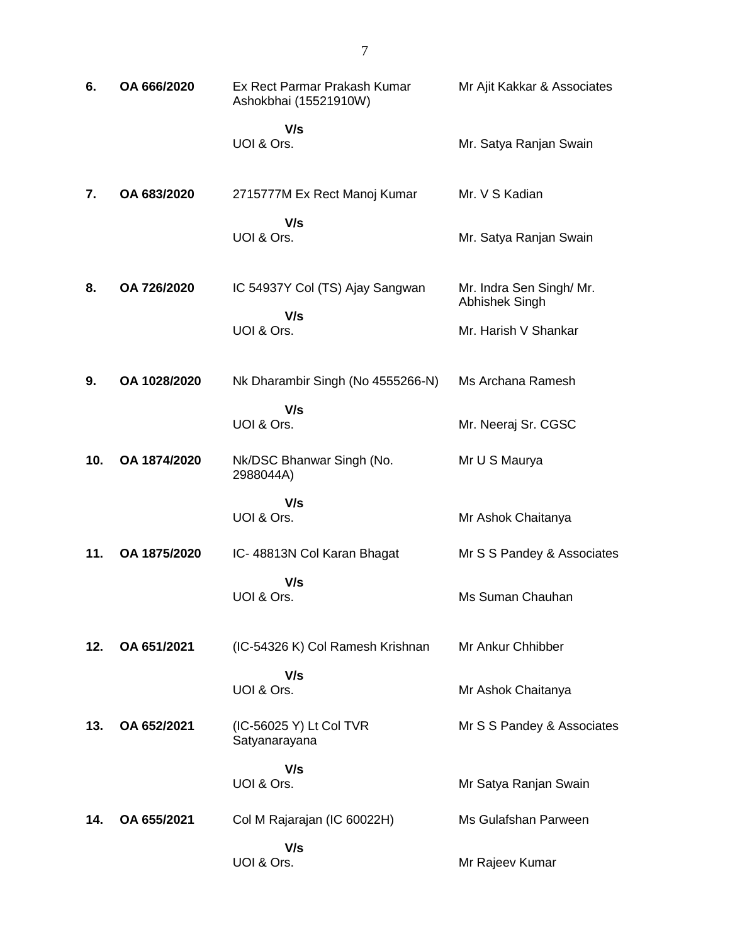| 6.  | OA 666/2020  | Ex Rect Parmar Prakash Kumar<br>Ashokbhai (15521910W) | Mr Ajit Kakkar & Associates                |
|-----|--------------|-------------------------------------------------------|--------------------------------------------|
|     |              | V/s<br>UOI & Ors.                                     | Mr. Satya Ranjan Swain                     |
| 7.  | OA 683/2020  | 2715777M Ex Rect Manoj Kumar                          | Mr. V S Kadian                             |
|     |              | V/s<br>UOI & Ors.                                     | Mr. Satya Ranjan Swain                     |
| 8.  | OA 726/2020  | IC 54937Y Col (TS) Ajay Sangwan                       | Mr. Indra Sen Singh/ Mr.<br>Abhishek Singh |
|     |              | V/s<br>UOI & Ors.                                     | Mr. Harish V Shankar                       |
| 9.  | OA 1028/2020 | Nk Dharambir Singh (No 4555266-N)                     | Ms Archana Ramesh                          |
|     |              | V/s<br>UOI & Ors.                                     | Mr. Neeraj Sr. CGSC                        |
| 10. | OA 1874/2020 | Nk/DSC Bhanwar Singh (No.<br>2988044A)                | Mr U S Maurya                              |
|     |              | V/s<br>UOI & Ors.                                     | Mr Ashok Chaitanya                         |
| 11. | OA 1875/2020 | IC- 48813N Col Karan Bhagat                           | Mr S S Pandey & Associates                 |
|     |              | V/s<br>UOI & Ors.                                     | Ms Suman Chauhan                           |
| 12. | OA 651/2021  | (IC-54326 K) Col Ramesh Krishnan                      | Mr Ankur Chhibber                          |
|     |              | V/s<br>UOI & Ors.                                     | Mr Ashok Chaitanya                         |
| 13. | OA 652/2021  | (IC-56025 Y) Lt Col TVR<br>Satyanarayana              | Mr S S Pandey & Associates                 |
|     |              | V/s<br>UOI & Ors.                                     | Mr Satya Ranjan Swain                      |
| 14. | OA 655/2021  | Col M Rajarajan (IC 60022H)                           | Ms Gulafshan Parween                       |
|     |              | V/s<br>UOI & Ors.                                     | Mr Rajeev Kumar                            |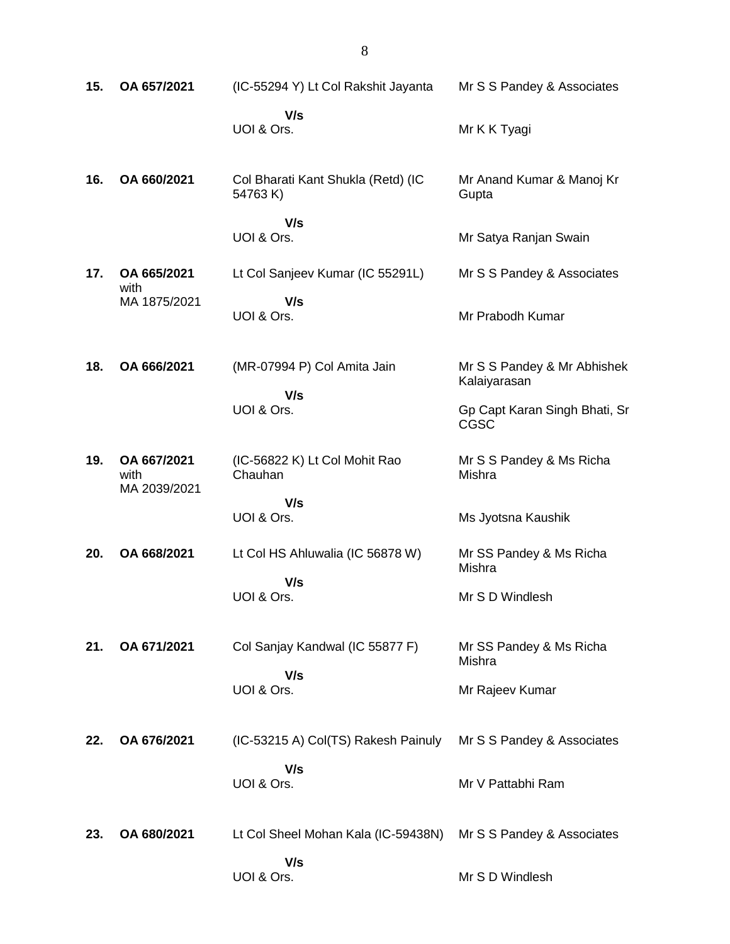| 15. | OA 657/2021                         | (IC-55294 Y) Lt Col Rakshit Jayanta           | Mr S S Pandey & Associates                   |
|-----|-------------------------------------|-----------------------------------------------|----------------------------------------------|
|     |                                     | V/s<br>UOI & Ors.                             | Mr K K Tyagi                                 |
| 16. | OA 660/2021                         | Col Bharati Kant Shukla (Retd) (IC<br>54763K) | Mr Anand Kumar & Manoj Kr<br>Gupta           |
|     |                                     | V/s<br>UOI & Ors.                             | Mr Satya Ranjan Swain                        |
| 17. | OA 665/2021<br>with                 | Lt Col Sanjeev Kumar (IC 55291L)              | Mr S S Pandey & Associates                   |
|     | MA 1875/2021                        | V/s<br>UOI & Ors.                             | Mr Prabodh Kumar                             |
| 18. | OA 666/2021                         | (MR-07994 P) Col Amita Jain<br>V/s            | Mr S S Pandey & Mr Abhishek<br>Kalaiyarasan  |
|     |                                     | UOI & Ors.                                    | Gp Capt Karan Singh Bhati, Sr<br><b>CGSC</b> |
| 19. | OA 667/2021<br>with<br>MA 2039/2021 | (IC-56822 K) Lt Col Mohit Rao<br>Chauhan      | Mr S S Pandey & Ms Richa<br>Mishra           |
|     |                                     | V/s<br>UOI & Ors.                             | Ms Jyotsna Kaushik                           |
| 20. | OA 668/2021                         | Lt Col HS Ahluwalia (IC 56878 W)<br>V/s       | Mr SS Pandey & Ms Richa<br>Mishra            |
|     |                                     | UOI & Ors.                                    | Mr S D Windlesh                              |
| 21. | OA 671/2021                         | Col Sanjay Kandwal (IC 55877 F)<br>V/s        | Mr SS Pandey & Ms Richa<br>Mishra            |
|     |                                     | UOI & Ors.                                    | Mr Rajeev Kumar                              |
| 22. | OA 676/2021                         | (IC-53215 A) Col(TS) Rakesh Painuly           | Mr S S Pandey & Associates                   |
|     |                                     | V/s<br>UOI & Ors.                             | Mr V Pattabhi Ram                            |
| 23. | OA 680/2021                         | Lt Col Sheel Mohan Kala (IC-59438N)           | Mr S S Pandey & Associates                   |
|     |                                     | V/s<br>UOI & Ors.                             | Mr S D Windlesh                              |

8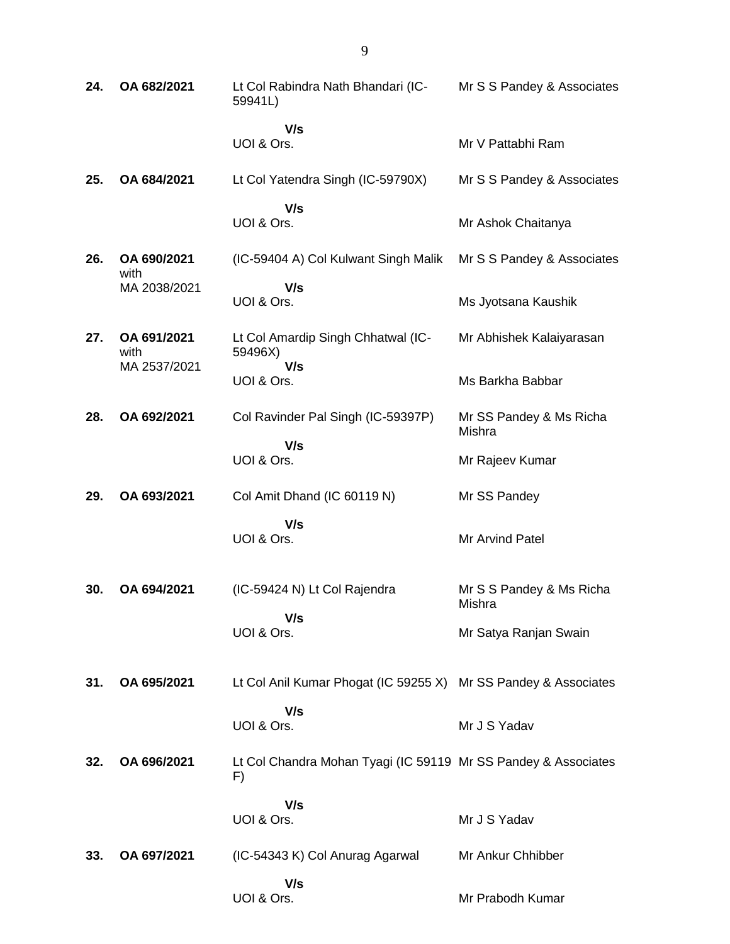| 24. | OA 682/2021         | Lt Col Rabindra Nath Bhandari (IC-<br>59941L)                        | Mr S S Pandey & Associates         |
|-----|---------------------|----------------------------------------------------------------------|------------------------------------|
|     |                     | V/s<br>UOI & Ors.                                                    | Mr V Pattabhi Ram                  |
| 25. | OA 684/2021         | Lt Col Yatendra Singh (IC-59790X)                                    | Mr S S Pandey & Associates         |
|     |                     | V/s<br>UOI & Ors.                                                    | Mr Ashok Chaitanya                 |
| 26. | OA 690/2021<br>with | (IC-59404 A) Col Kulwant Singh Malik                                 | Mr S S Pandey & Associates         |
|     | MA 2038/2021        | V/s<br>UOI & Ors.                                                    | Ms Jyotsana Kaushik                |
| 27. | OA 691/2021<br>with | Lt Col Amardip Singh Chhatwal (IC-<br>59496X)                        | Mr Abhishek Kalaiyarasan           |
|     | MA 2537/2021        | V/s<br>UOI & Ors.                                                    | Ms Barkha Babbar                   |
| 28. | OA 692/2021         | Col Ravinder Pal Singh (IC-59397P)                                   | Mr SS Pandey & Ms Richa<br>Mishra  |
|     |                     | V/s<br>UOI & Ors.                                                    | Mr Rajeev Kumar                    |
| 29. | OA 693/2021         | Col Amit Dhand (IC 60119 N)                                          | Mr SS Pandey                       |
|     |                     | V/s<br>UOI & Ors.                                                    | Mr Arvind Patel                    |
| 30. | OA 694/2021         | (IC-59424 N) Lt Col Rajendra                                         | Mr S S Pandey & Ms Richa<br>Mishra |
|     |                     | V/s<br>UOI & Ors.                                                    | Mr Satya Ranjan Swain              |
| 31. | OA 695/2021         | Lt Col Anil Kumar Phogat (IC 59255 X) Mr SS Pandey & Associates      |                                    |
|     |                     | V/s<br>UOI & Ors.                                                    | Mr J S Yadav                       |
| 32. | OA 696/2021         | Lt Col Chandra Mohan Tyagi (IC 59119 Mr SS Pandey & Associates<br>F) |                                    |
|     |                     | V/s<br>UOI & Ors.                                                    | Mr J S Yadav                       |
| 33. | OA 697/2021         | (IC-54343 K) Col Anurag Agarwal                                      | Mr Ankur Chhibber                  |
|     |                     | V/s<br>UOI & Ors.                                                    | Mr Prabodh Kumar                   |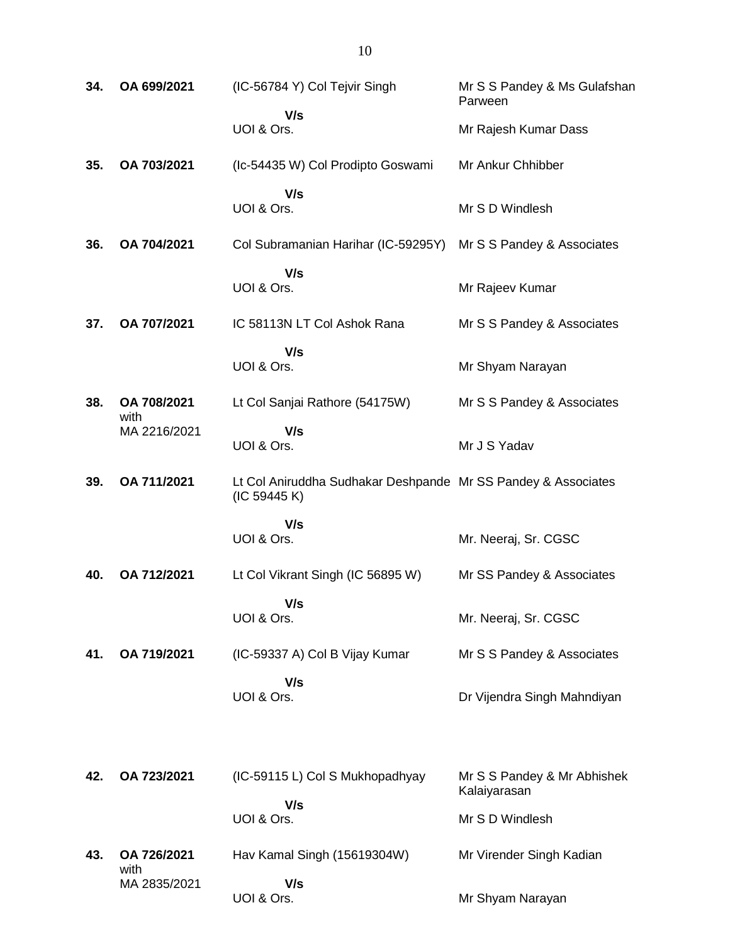| 34. | OA 699/2021         | (IC-56784 Y) Col Tejvir Singh                                                 | Mr S S Pandey & Ms Gulafshan<br>Parween     |
|-----|---------------------|-------------------------------------------------------------------------------|---------------------------------------------|
|     |                     | V/s<br>UOI & Ors.                                                             | Mr Rajesh Kumar Dass                        |
| 35. | OA 703/2021         | (Ic-54435 W) Col Prodipto Goswami                                             | Mr Ankur Chhibber                           |
|     |                     | V/s<br>UOI & Ors.                                                             | Mr S D Windlesh                             |
| 36. | OA 704/2021         | Col Subramanian Harihar (IC-59295Y)                                           | Mr S S Pandey & Associates                  |
|     |                     | V/s<br>UOI & Ors.                                                             | Mr Rajeev Kumar                             |
| 37. | OA 707/2021         | IC 58113N LT Col Ashok Rana                                                   | Mr S S Pandey & Associates                  |
|     |                     | V/s<br>UOI & Ors.                                                             | Mr Shyam Narayan                            |
| 38. | OA 708/2021<br>with | Lt Col Sanjai Rathore (54175W)                                                | Mr S S Pandey & Associates                  |
|     | MA 2216/2021        | V/s<br>UOI & Ors.                                                             | Mr J S Yadav                                |
| 39. | OA 711/2021         | Lt Col Aniruddha Sudhakar Deshpande Mr SS Pandey & Associates<br>(IC 59445 K) |                                             |
|     |                     | V/s<br>UOI & Ors.                                                             | Mr. Neeraj, Sr. CGSC                        |
| 40. | OA 712/2021         | Lt Col Vikrant Singh (IC 56895 W)                                             | Mr SS Pandey & Associates                   |
|     |                     | V/s<br>UOI & Ors.                                                             | Mr. Neeraj, Sr. CGSC                        |
| 41. | OA 719/2021         | (IC-59337 A) Col B Vijay Kumar                                                | Mr S S Pandey & Associates                  |
|     |                     | V/s<br>UOI & Ors.                                                             | Dr Vijendra Singh Mahndiyan                 |
| 42. | OA 723/2021         | (IC-59115 L) Col S Mukhopadhyay                                               | Mr S S Pandey & Mr Abhishek<br>Kalaiyarasan |
|     |                     | V/s<br>UOI & Ors.                                                             | Mr S D Windlesh                             |
| 43. | OA 726/2021<br>with | Hav Kamal Singh (15619304W)                                                   | Mr Virender Singh Kadian                    |
|     | MA 2835/2021        | V/s<br>UOI & Ors.                                                             | Mr Shyam Narayan                            |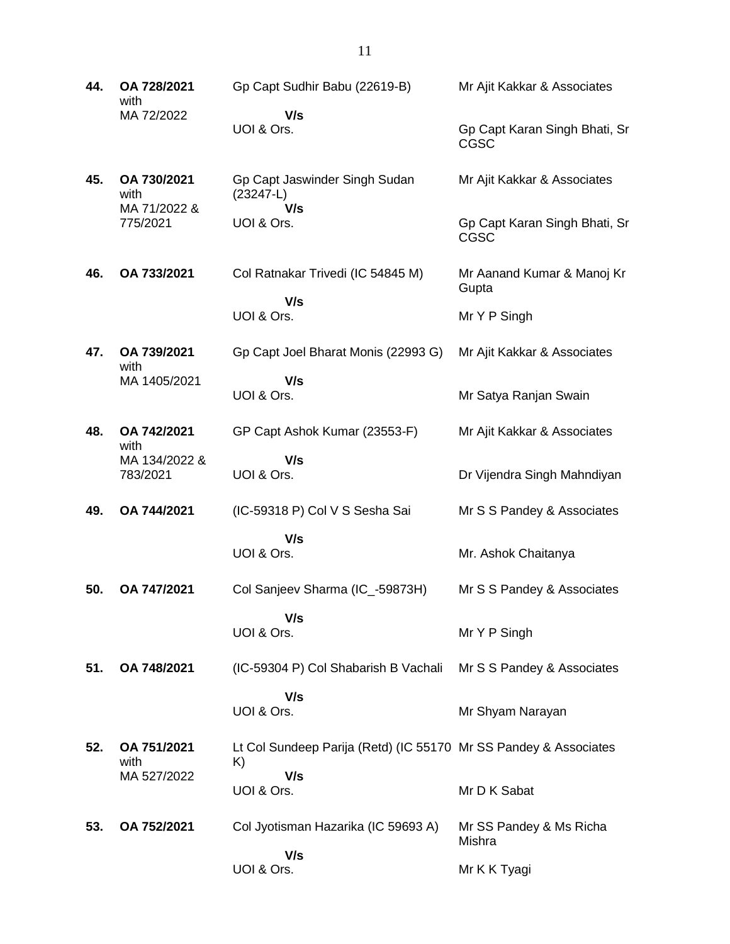| 44. | OA 728/2021<br>with       | Gp Capt Sudhir Babu (22619-B)                                          | Mr Ajit Kakkar & Associates                  |
|-----|---------------------------|------------------------------------------------------------------------|----------------------------------------------|
|     | MA 72/2022                | V/s<br>UOI & Ors.                                                      | Gp Capt Karan Singh Bhati, Sr<br>CGSC        |
| 45. | OA 730/2021<br>with       | Gp Capt Jaswinder Singh Sudan<br>$(23247-L)$                           | Mr Ajit Kakkar & Associates                  |
|     | MA 71/2022 &<br>775/2021  | V/s<br>UOI & Ors.                                                      | Gp Capt Karan Singh Bhati, Sr<br><b>CGSC</b> |
| 46. | OA 733/2021               | Col Ratnakar Trivedi (IC 54845 M)                                      | Mr Aanand Kumar & Manoj Kr<br>Gupta          |
|     |                           | V/s<br>UOI & Ors.                                                      | Mr Y P Singh                                 |
| 47. | OA 739/2021<br>with       | Gp Capt Joel Bharat Monis (22993 G)                                    | Mr Ajit Kakkar & Associates                  |
|     | MA 1405/2021              | V/s<br>UOI & Ors.                                                      | Mr Satya Ranjan Swain                        |
| 48. | OA 742/2021<br>with       | GP Capt Ashok Kumar (23553-F)                                          | Mr Ajit Kakkar & Associates                  |
|     | MA 134/2022 &<br>783/2021 | V/s<br>UOI & Ors.                                                      | Dr Vijendra Singh Mahndiyan                  |
| 49. | OA 744/2021               | (IC-59318 P) Col V S Sesha Sai                                         | Mr S S Pandey & Associates                   |
|     |                           | V/s<br>UOI & Ors.                                                      | Mr. Ashok Chaitanya                          |
| 50. | OA 747/2021               | Col Sanjeev Sharma (IC_-59873H)                                        | Mr S S Pandey & Associates                   |
|     |                           | V/s<br>UOI & Ors.                                                      | Mr Y P Singh                                 |
| 51. | OA 748/2021               | (IC-59304 P) Col Shabarish B Vachali                                   | Mr S S Pandey & Associates                   |
|     |                           | V/s<br>UOI & Ors.                                                      | Mr Shyam Narayan                             |
| 52. | OA 751/2021<br>with       | Lt Col Sundeep Parija (Retd) (IC 55170 Mr SS Pandey & Associates<br>K) |                                              |
|     | MA 527/2022               | V/s<br>UOI & Ors.                                                      | Mr D K Sabat                                 |
| 53. | OA 752/2021               | Col Jyotisman Hazarika (IC 59693 A)                                    | Mr SS Pandey & Ms Richa<br>Mishra            |
|     |                           | V/s<br>UOI & Ors.                                                      | Mr K K Tyagi                                 |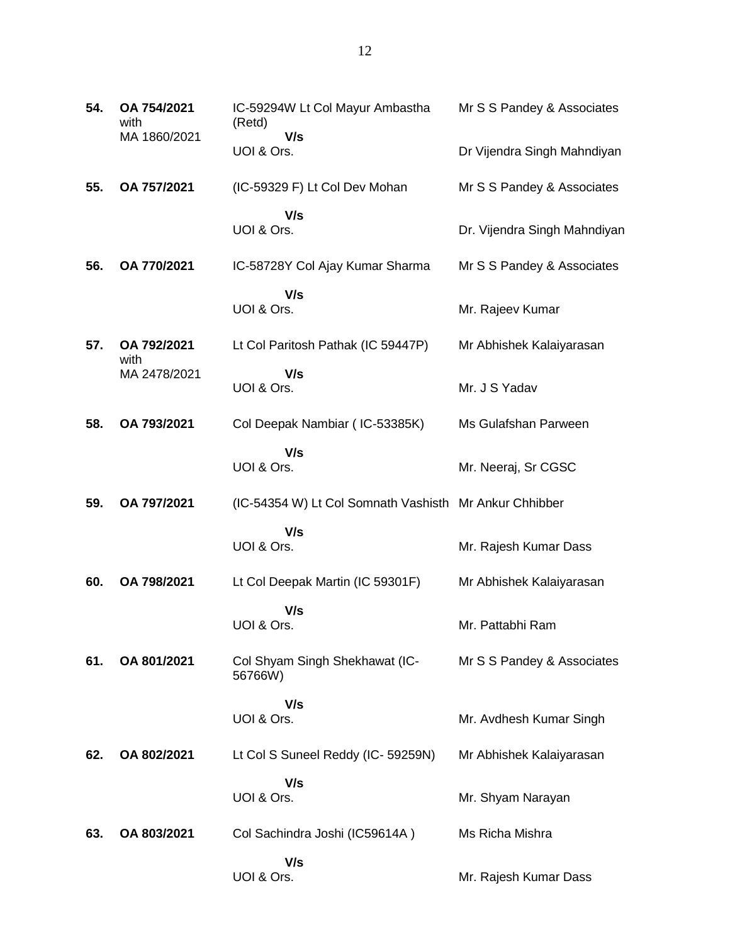| 54. | OA 754/2021<br>with | IC-59294W Lt Col Mayur Ambastha<br>(Retd)              | Mr S S Pandey & Associates   |
|-----|---------------------|--------------------------------------------------------|------------------------------|
|     | MA 1860/2021        | V/s<br>UOI & Ors.                                      | Dr Vijendra Singh Mahndiyan  |
| 55. | OA 757/2021         | (IC-59329 F) Lt Col Dev Mohan                          | Mr S S Pandey & Associates   |
|     |                     | V/s<br>UOI & Ors.                                      | Dr. Vijendra Singh Mahndiyan |
| 56. | OA 770/2021         | IC-58728Y Col Ajay Kumar Sharma                        | Mr S S Pandey & Associates   |
|     |                     | V/s<br>UOI & Ors.                                      | Mr. Rajeev Kumar             |
| 57. | OA 792/2021<br>with | Lt Col Paritosh Pathak (IC 59447P)                     | Mr Abhishek Kalaiyarasan     |
|     | MA 2478/2021        | V/s<br>UOI & Ors.                                      | Mr. J S Yadav                |
| 58. | OA 793/2021         | Col Deepak Nambiar (IC-53385K)                         | Ms Gulafshan Parween         |
|     |                     | V/s<br>UOI & Ors.                                      | Mr. Neeraj, Sr CGSC          |
| 59. | OA 797/2021         | (IC-54354 W) Lt Col Somnath Vashisth Mr Ankur Chhibber |                              |
|     |                     | V/s<br>UOI & Ors.                                      | Mr. Rajesh Kumar Dass        |
| 60. | OA 798/2021         | Lt Col Deepak Martin (IC 59301F)                       | Mr Abhishek Kalaiyarasan     |
|     |                     | V/s<br>UOI & Ors.                                      | Mr. Pattabhi Ram             |
| 61. | OA 801/2021         | Col Shyam Singh Shekhawat (IC-<br>56766W)              | Mr S S Pandey & Associates   |
|     |                     | V/s<br>UOI & Ors.                                      | Mr. Avdhesh Kumar Singh      |
| 62. | OA 802/2021         | Lt Col S Suneel Reddy (IC- 59259N)                     | Mr Abhishek Kalaiyarasan     |
|     |                     | V/s<br>UOI & Ors.                                      | Mr. Shyam Narayan            |
| 63. | OA 803/2021         | Col Sachindra Joshi (IC59614A)                         | Ms Richa Mishra              |
|     |                     | V/s<br>UOI & Ors.                                      | Mr. Rajesh Kumar Dass        |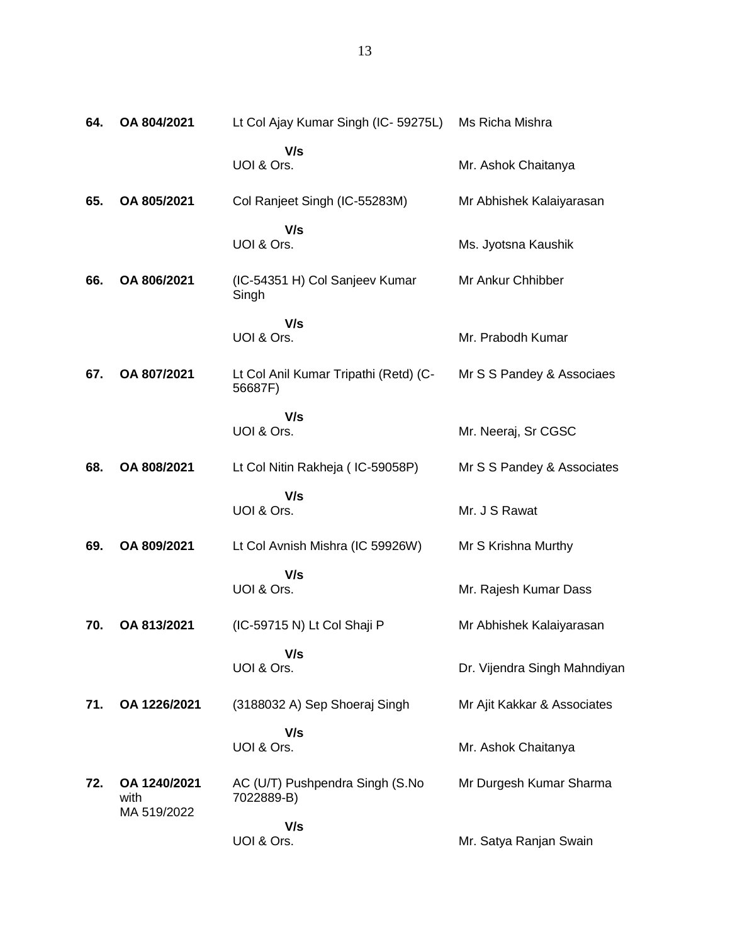| 64. | OA 804/2021                         | Lt Col Ajay Kumar Singh (IC-59275L)              | Ms Richa Mishra              |
|-----|-------------------------------------|--------------------------------------------------|------------------------------|
|     |                                     | V/s<br>UOI & Ors.                                | Mr. Ashok Chaitanya          |
| 65. | OA 805/2021                         | Col Ranjeet Singh (IC-55283M)                    | Mr Abhishek Kalaiyarasan     |
|     |                                     | V/s<br>UOI & Ors.                                | Ms. Jyotsna Kaushik          |
| 66. | OA 806/2021                         | (IC-54351 H) Col Sanjeev Kumar<br>Singh          | Mr Ankur Chhibber            |
|     |                                     | V/s<br>UOI & Ors.                                | Mr. Prabodh Kumar            |
| 67. | OA 807/2021                         | Lt Col Anil Kumar Tripathi (Retd) (C-<br>56687F) | Mr S S Pandey & Associaes    |
|     |                                     | V/s<br>UOI & Ors.                                | Mr. Neeraj, Sr CGSC          |
| 68. | OA 808/2021                         | Lt Col Nitin Rakheja (IC-59058P)                 | Mr S S Pandey & Associates   |
|     |                                     | V/s<br>UOI & Ors.                                | Mr. J S Rawat                |
| 69. | OA 809/2021                         | Lt Col Avnish Mishra (IC 59926W)                 | Mr S Krishna Murthy          |
|     |                                     | V/s<br>UOI & Ors.                                | Mr. Rajesh Kumar Dass        |
| 70. | OA 813/2021                         | (IC-59715 N) Lt Col Shaji P                      | Mr Abhishek Kalaiyarasan     |
|     |                                     | V/s<br>UOI & Ors.                                | Dr. Vijendra Singh Mahndiyan |
| 71. | OA 1226/2021                        | (3188032 A) Sep Shoeraj Singh                    | Mr Ajit Kakkar & Associates  |
|     |                                     | V/s<br>UOI & Ors.                                | Mr. Ashok Chaitanya          |
| 72. | OA 1240/2021<br>with<br>MA 519/2022 | AC (U/T) Pushpendra Singh (S.No<br>7022889-B)    | Mr Durgesh Kumar Sharma      |
|     |                                     | V/s<br>UOI & Ors.                                | Mr. Satya Ranjan Swain       |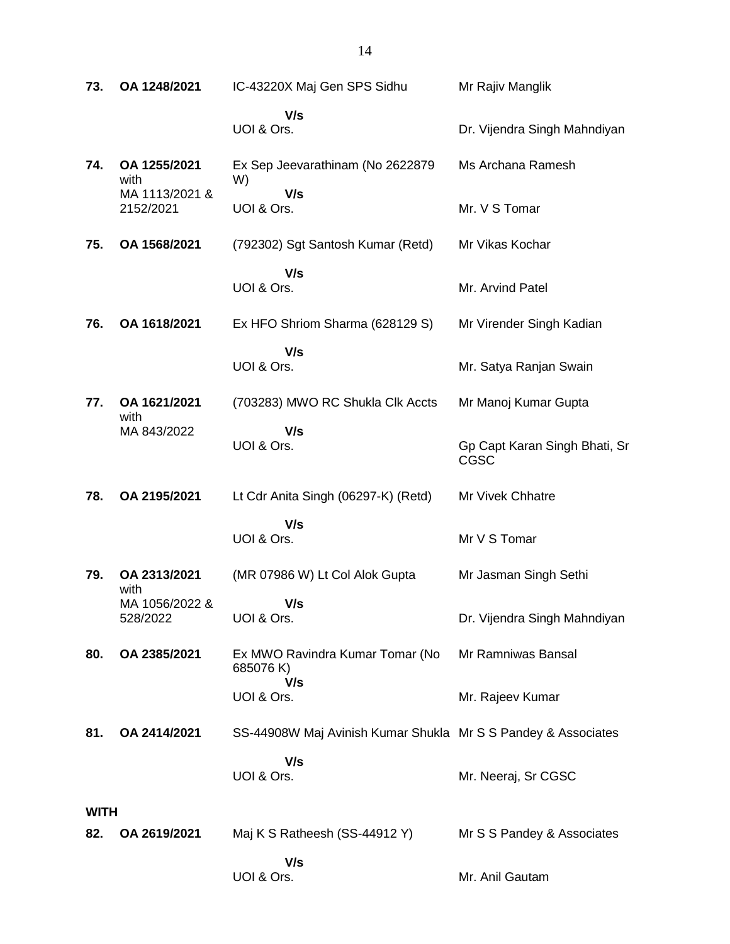| 73.                | OA 1248/2021                | IC-43220X Maj Gen SPS Sidhu                                   | Mr Rajiv Manglik                              |
|--------------------|-----------------------------|---------------------------------------------------------------|-----------------------------------------------|
|                    |                             | V/s<br>UOI & Ors.                                             | Dr. Vijendra Singh Mahndiyan                  |
| 74.                | OA 1255/2021<br>with        | Ex Sep Jeevarathinam (No 2622879<br>W)                        | Ms Archana Ramesh                             |
|                    | MA 1113/2021 &<br>2152/2021 | V/s<br>UOI & Ors.                                             | Mr. V S Tomar                                 |
| 75.                | OA 1568/2021                | (792302) Sgt Santosh Kumar (Retd)                             | Mr Vikas Kochar                               |
|                    |                             | V/s<br>UOI & Ors.                                             | Mr. Arvind Patel                              |
| 76.                | OA 1618/2021                | Ex HFO Shriom Sharma (628129 S)                               | Mr Virender Singh Kadian                      |
|                    |                             | V/s<br>UOI & Ors.                                             | Mr. Satya Ranjan Swain                        |
| 77.                | OA 1621/2021<br>with        | (703283) MWO RC Shukla Clk Accts                              | Mr Manoj Kumar Gupta                          |
|                    | MA 843/2022                 | V/s<br>UOI & Ors.                                             | Gp Capt Karan Singh Bhati, Sr<br>CGSC         |
| 78.                | OA 2195/2021                | Lt Cdr Anita Singh (06297-K) (Retd)                           | Mr Vivek Chhatre                              |
|                    |                             | V/s<br>UOI & Ors.                                             | Mr V S Tomar                                  |
| 79.                | OA 2313/2021<br>with        | (MR 07986 W) Lt Col Alok Gupta                                | Mr Jasman Singh Sethi                         |
|                    | MA 1056/2022 &<br>528/2022  | V/s<br>UOI & Ors.                                             | Dr. Vijendra Singh Mahndiyan                  |
| 80.                | OA 2385/2021                | Ex MWO Ravindra Kumar Tomar (No<br>685076 K)<br>V/s           | Mr Ramniwas Bansal                            |
|                    |                             | UOI & Ors.                                                    | Mr. Rajeev Kumar                              |
| 81.                | OA 2414/2021                | SS-44908W Maj Avinish Kumar Shukla Mr S S Pandey & Associates |                                               |
|                    |                             | V/s<br>UOI & Ors.                                             | Mr. Neeraj, Sr CGSC                           |
| <b>WITH</b><br>82. | OA 2619/2021                | Maj K S Ratheesh (SS-44912 Y)                                 |                                               |
|                    |                             | V/s<br>UOI & Ors.                                             | Mr S S Pandey & Associates<br>Mr. Anil Gautam |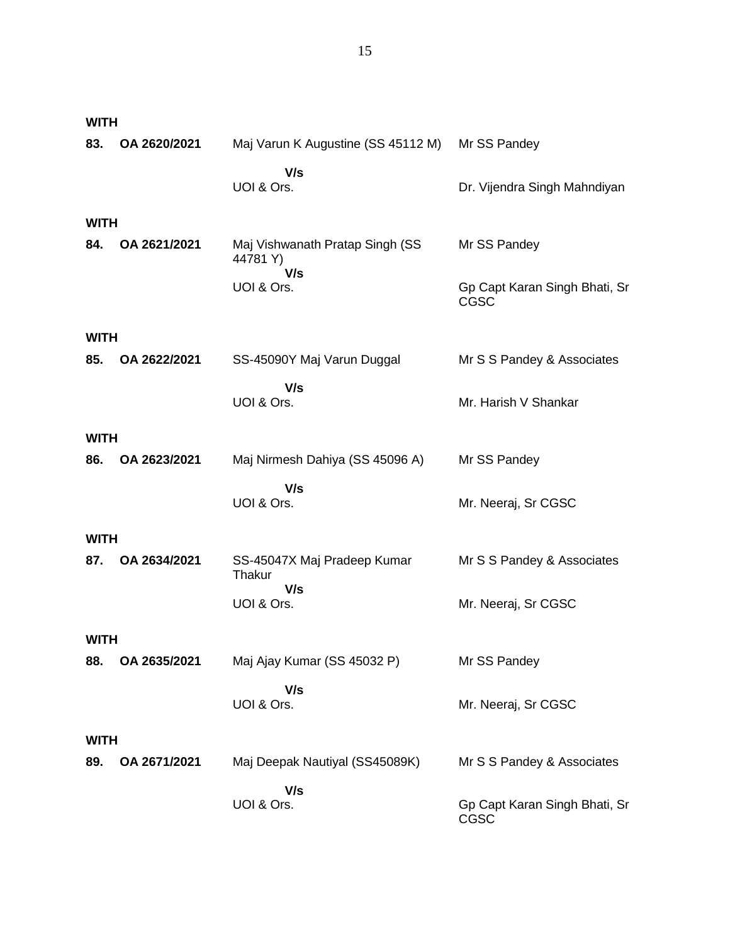| <b>WITH</b> |              |                                            |                                              |  |  |
|-------------|--------------|--------------------------------------------|----------------------------------------------|--|--|
| 83.         | OA 2620/2021 | Maj Varun K Augustine (SS 45112 M)         | Mr SS Pandey                                 |  |  |
|             |              | V/s<br>UOI & Ors.                          | Dr. Vijendra Singh Mahndiyan                 |  |  |
| <b>WITH</b> |              |                                            |                                              |  |  |
| 84.         | OA 2621/2021 | Maj Vishwanath Pratap Singh (SS<br>44781Y) | Mr SS Pandey                                 |  |  |
|             |              | V/s<br>UOI & Ors.                          | Gp Capt Karan Singh Bhati, Sr<br><b>CGSC</b> |  |  |
| <b>WITH</b> |              |                                            |                                              |  |  |
| 85.         | OA 2622/2021 | SS-45090Y Maj Varun Duggal                 | Mr S S Pandey & Associates                   |  |  |
|             |              | V/s<br>UOI & Ors.                          | Mr. Harish V Shankar                         |  |  |
| <b>WITH</b> |              |                                            |                                              |  |  |
| 86.         | OA 2623/2021 | Maj Nirmesh Dahiya (SS 45096 A)            | Mr SS Pandey                                 |  |  |
|             |              | V/s<br>UOI & Ors.                          | Mr. Neeraj, Sr CGSC                          |  |  |
| <b>WITH</b> |              |                                            |                                              |  |  |
| 87.         | OA 2634/2021 | SS-45047X Maj Pradeep Kumar<br>Thakur      | Mr S S Pandey & Associates                   |  |  |
|             |              | V/s<br>UOI & Ors.                          | Mr. Neeraj, Sr CGSC                          |  |  |
| <b>WITH</b> |              |                                            |                                              |  |  |
| 88.         | OA 2635/2021 | Maj Ajay Kumar (SS 45032 P)                | Mr SS Pandey                                 |  |  |
|             |              | V/s<br>UOI & Ors.                          | Mr. Neeraj, Sr CGSC                          |  |  |
|             | <b>WITH</b>  |                                            |                                              |  |  |
| 89.         | OA 2671/2021 | Maj Deepak Nautiyal (SS45089K)             | Mr S S Pandey & Associates                   |  |  |
|             |              | V/s<br>UOI & Ors.                          | Gp Capt Karan Singh Bhati, Sr<br>CGSC        |  |  |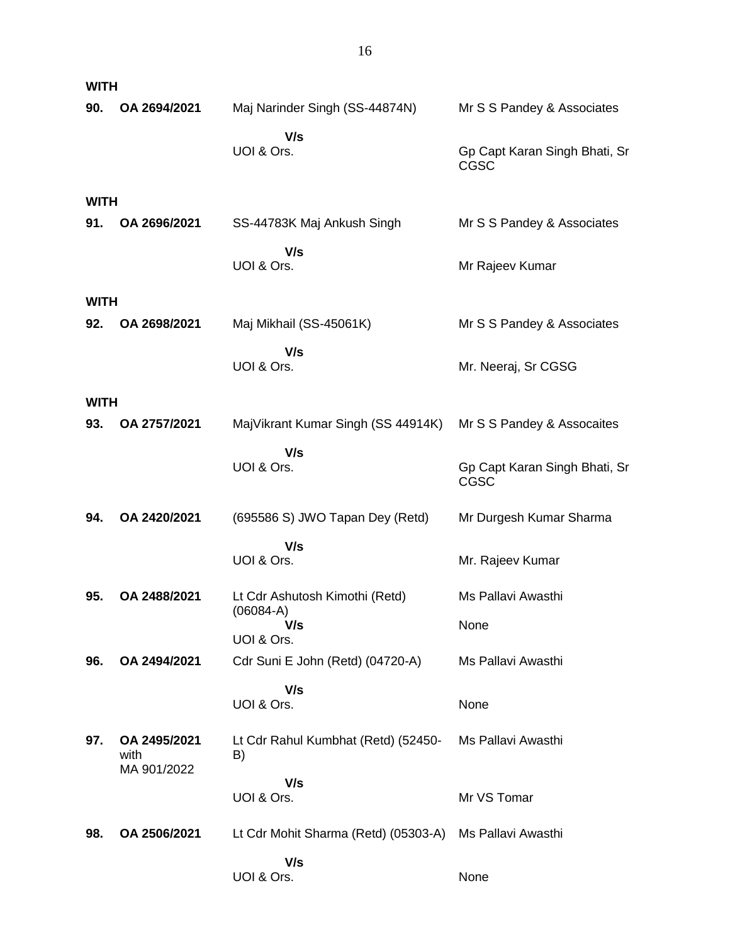| <b>WITH</b> |                      |                                               |                                       |
|-------------|----------------------|-----------------------------------------------|---------------------------------------|
| 90.         | OA 2694/2021         | Maj Narinder Singh (SS-44874N)                | Mr S S Pandey & Associates            |
|             |                      | V/s<br>UOI & Ors.                             | Gp Capt Karan Singh Bhati, Sr<br>CGSC |
| <b>WITH</b> |                      |                                               |                                       |
| 91.         | OA 2696/2021         | SS-44783K Maj Ankush Singh                    | Mr S S Pandey & Associates            |
|             |                      | V/s<br>UOI & Ors.                             | Mr Rajeev Kumar                       |
| <b>WITH</b> |                      |                                               |                                       |
| 92.         | OA 2698/2021         | Maj Mikhail (SS-45061K)                       | Mr S S Pandey & Associates            |
|             |                      | V/s<br>UOI & Ors.                             | Mr. Neeraj, Sr CGSG                   |
| <b>WITH</b> |                      |                                               |                                       |
| 93.         | OA 2757/2021         | MajVikrant Kumar Singh (SS 44914K)            | Mr S S Pandey & Assocaites            |
|             |                      | V/s<br>UOI & Ors.                             | Gp Capt Karan Singh Bhati, Sr<br>CGSC |
| 94.         | OA 2420/2021         | (695586 S) JWO Tapan Dey (Retd)               | Mr Durgesh Kumar Sharma               |
|             |                      | V/s                                           |                                       |
|             |                      | UOI & Ors.                                    | Mr. Rajeev Kumar                      |
| 95.         | OA 2488/2021         | Lt Cdr Ashutosh Kimothi (Retd)<br>$(06084-A)$ | Ms Pallavi Awasthi                    |
|             |                      | V/s<br>UOI & Ors.                             | None                                  |
| 96.         | OA 2494/2021         | Cdr Suni E John (Retd) (04720-A)              | Ms Pallavi Awasthi                    |
|             |                      | V/s<br>UOI & Ors.                             | None                                  |
| 97.         | OA 2495/2021<br>with | Lt Cdr Rahul Kumbhat (Retd) (52450-<br>B)     | Ms Pallavi Awasthi                    |
|             | MA 901/2022          | V/s                                           |                                       |
|             |                      | UOI & Ors.                                    | Mr VS Tomar                           |
| 98.         | OA 2506/2021         | Lt Cdr Mohit Sharma (Retd) (05303-A)          | Ms Pallavi Awasthi                    |
|             |                      | V/s<br>UOI & Ors.                             | None                                  |
|             |                      |                                               |                                       |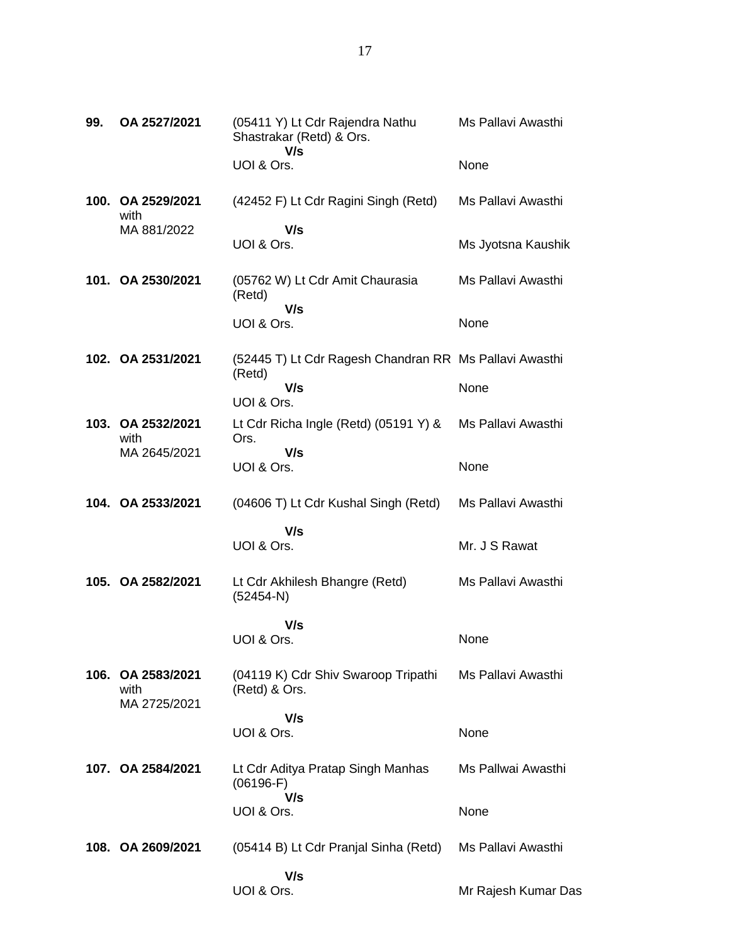| 99. | OA 2527/2021              | (05411 Y) Lt Cdr Rajendra Nathu<br>Shastrakar (Retd) & Ors.<br>V/s | Ms Pallavi Awasthi  |
|-----|---------------------------|--------------------------------------------------------------------|---------------------|
|     |                           | UOI & Ors.                                                         | None                |
|     | 100. OA 2529/2021<br>with | (42452 F) Lt Cdr Ragini Singh (Retd)                               | Ms Pallavi Awasthi  |
|     | MA 881/2022               | V/s<br>UOI & Ors.                                                  | Ms Jyotsna Kaushik  |
|     | 101. OA 2530/2021         | (05762 W) Lt Cdr Amit Chaurasia<br>(Retd)                          | Ms Pallavi Awasthi  |
|     |                           | V/s<br>UOI & Ors.                                                  | None                |
|     | 102. OA 2531/2021         | (52445 T) Lt Cdr Ragesh Chandran RR Ms Pallavi Awasthi<br>(Retd)   |                     |
|     |                           | V/s<br>UOI & Ors.                                                  | None                |
|     | 103. OA 2532/2021<br>with | Lt Cdr Richa Ingle (Retd) $(05191 Y)$ &<br>Ors.                    | Ms Pallavi Awasthi  |
|     | MA 2645/2021              | V/s<br>UOI & Ors.                                                  | None                |
|     | 104. OA 2533/2021         | (04606 T) Lt Cdr Kushal Singh (Retd)                               | Ms Pallavi Awasthi  |
|     |                           | V/s                                                                |                     |
|     |                           | UOI & Ors.                                                         | Mr. J S Rawat       |
|     | 105. OA 2582/2021         | Lt Cdr Akhilesh Bhangre (Retd)<br>$(52454-N)$                      | Ms Pallavi Awasthi  |
|     |                           | V/s                                                                |                     |
|     |                           | UOI & Ors.                                                         | None                |
|     | 106. OA 2583/2021<br>with | (04119 K) Cdr Shiv Swaroop Tripathi<br>(Retd) & Ors.               | Ms Pallavi Awasthi  |
|     | MA 2725/2021              | V/s                                                                |                     |
|     |                           | UOI & Ors.                                                         | None                |
|     | 107. OA 2584/2021         | Lt Cdr Aditya Pratap Singh Manhas<br>$(06196-F)$                   | Ms Pallwai Awasthi  |
|     |                           | V/s<br>UOI & Ors.                                                  | None                |
|     | 108. OA 2609/2021         | (05414 B) Lt Cdr Pranjal Sinha (Retd)                              | Ms Pallavi Awasthi  |
|     |                           | V/s<br>UOI & Ors.                                                  | Mr Rajesh Kumar Das |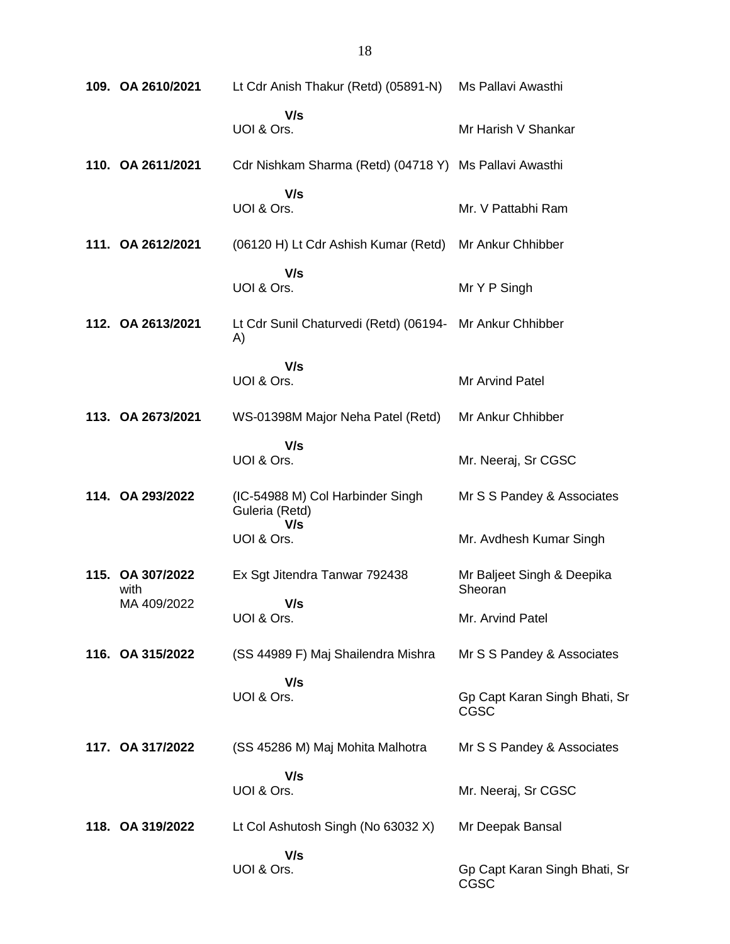| 109. OA 2610/2021                       | Lt Cdr Anish Thakur (Retd) (05891-N)                           | Ms Pallavi Awasthi                    |
|-----------------------------------------|----------------------------------------------------------------|---------------------------------------|
|                                         | V/s<br>UOI & Ors.                                              | Mr Harish V Shankar                   |
| 110. OA 2611/2021                       | Cdr Nishkam Sharma (Retd) (04718 Y) Ms Pallavi Awasthi         |                                       |
|                                         | V/s<br>UOI & Ors.                                              | Mr. V Pattabhi Ram                    |
| 111. OA 2612/2021                       | (06120 H) Lt Cdr Ashish Kumar (Retd) Mr Ankur Chhibber         |                                       |
|                                         | V/s<br>UOI & Ors.                                              | Mr Y P Singh                          |
| 112. OA 2613/2021                       | Lt Cdr Sunil Chaturvedi (Retd) (06194- Mr Ankur Chhibber<br>A) |                                       |
|                                         | V/s<br>UOI & Ors.                                              | Mr Arvind Patel                       |
| 113. OA 2673/2021                       | WS-01398M Major Neha Patel (Retd)                              | Mr Ankur Chhibber                     |
|                                         | V/s<br>UOI & Ors.                                              | Mr. Neeraj, Sr CGSC                   |
| 114. OA 293/2022                        | (IC-54988 M) Col Harbinder Singh<br>Guleria (Retd)<br>V/s      | Mr S S Pandey & Associates            |
|                                         | UOI & Ors.                                                     | Mr. Avdhesh Kumar Singh               |
| 115. OA 307/2022<br>with<br>MA 409/2022 | Ex Sgt Jitendra Tanwar 792438<br>V/s                           | Mr Baljeet Singh & Deepika<br>Sheoran |
|                                         | UOI & Ors.                                                     | Mr. Arvind Patel                      |
| 116. OA 315/2022                        | (SS 44989 F) Maj Shailendra Mishra                             | Mr S S Pandey & Associates            |
|                                         | V/s<br>UOI & Ors.                                              | Gp Capt Karan Singh Bhati, Sr<br>CGSC |
| 117. OA 317/2022                        | (SS 45286 M) Maj Mohita Malhotra                               | Mr S S Pandey & Associates            |
|                                         | V/s<br>UOI & Ors.                                              | Mr. Neeraj, Sr CGSC                   |
| 118. OA 319/2022                        | Lt Col Ashutosh Singh (No 63032 X)                             | Mr Deepak Bansal                      |
|                                         | V/s<br>UOI & Ors.                                              | Gp Capt Karan Singh Bhati, Sr<br>CGSC |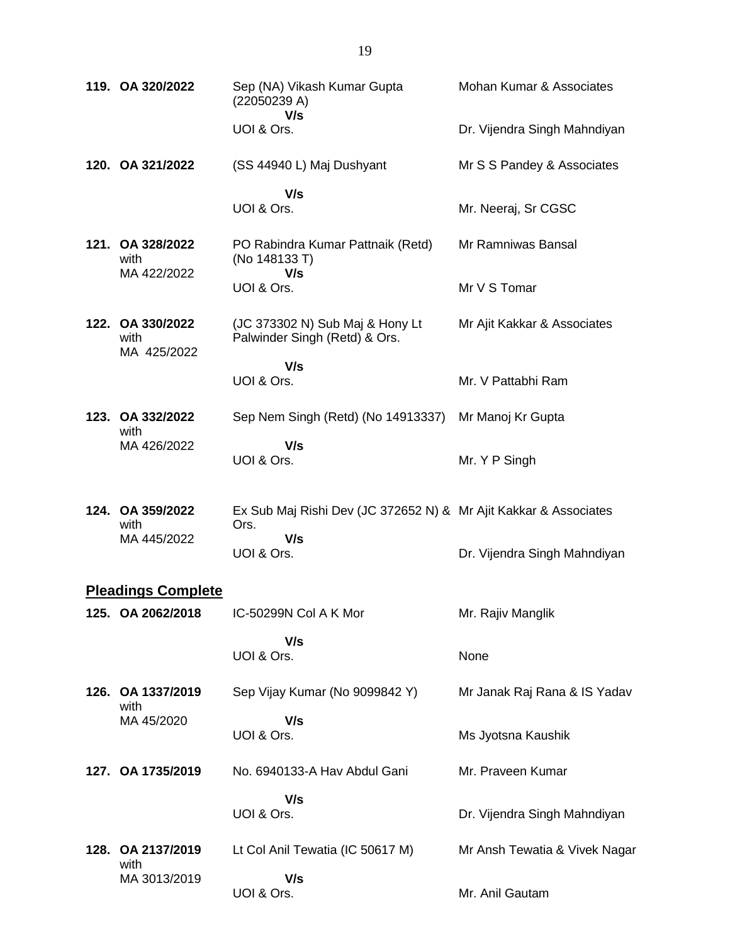| 119. OA 320/2022                        | Sep (NA) Vikash Kumar Gupta<br>(22050239 A)                              | Mohan Kumar & Associates      |
|-----------------------------------------|--------------------------------------------------------------------------|-------------------------------|
|                                         | V/s<br>UOI & Ors.                                                        | Dr. Vijendra Singh Mahndiyan  |
| 120. OA 321/2022                        | (SS 44940 L) Maj Dushyant                                                | Mr S S Pandey & Associates    |
|                                         | V/s<br>UOI & Ors.                                                        | Mr. Neeraj, Sr CGSC           |
| 121. OA 328/2022<br>with<br>MA 422/2022 | PO Rabindra Kumar Pattnaik (Retd)<br>(No 148133 T)<br>V/s                | Mr Ramniwas Bansal            |
|                                         | UOI & Ors.                                                               | Mr V S Tomar                  |
| 122. OA 330/2022<br>with<br>MA 425/2022 | (JC 373302 N) Sub Maj & Hony Lt<br>Palwinder Singh (Retd) & Ors.         | Mr Ajit Kakkar & Associates   |
|                                         | V/s<br>UOI & Ors.                                                        | Mr. V Pattabhi Ram            |
| 123. OA 332/2022<br>with                | Sep Nem Singh (Retd) (No 14913337)                                       | Mr Manoj Kr Gupta             |
| MA 426/2022                             | V/s<br>UOI & Ors.                                                        | Mr. Y P Singh                 |
| 124. OA 359/2022<br>with                | Ex Sub Maj Rishi Dev (JC 372652 N) & Mr Ajit Kakkar & Associates<br>Ors. |                               |
| MA 445/2022                             | V/s<br>UOI & Ors.                                                        | Dr. Vijendra Singh Mahndiyan  |
| <b>Pleadings Complete</b>               |                                                                          |                               |
| 125. OA 2062/2018                       | IC-50299N Col A K Mor                                                    | Mr. Rajiv Manglik             |
|                                         | V/s<br>UOI & Ors.                                                        | None                          |
| 126. OA 1337/2019<br>with               | Sep Vijay Kumar (No 9099842 Y)                                           | Mr Janak Raj Rana & IS Yadav  |
| MA 45/2020                              | V/s<br>UOI & Ors.                                                        | Ms Jyotsna Kaushik            |
| 127. OA 1735/2019                       | No. 6940133-A Hav Abdul Gani                                             | Mr. Praveen Kumar             |
|                                         | V/s<br>UOI & Ors.                                                        | Dr. Vijendra Singh Mahndiyan  |
| 128. OA 2137/2019<br>with               | Lt Col Anil Tewatia (IC 50617 M)                                         | Mr Ansh Tewatia & Vivek Nagar |
| MA 3013/2019                            | V/s<br>UOI & Ors.                                                        | Mr. Anil Gautam               |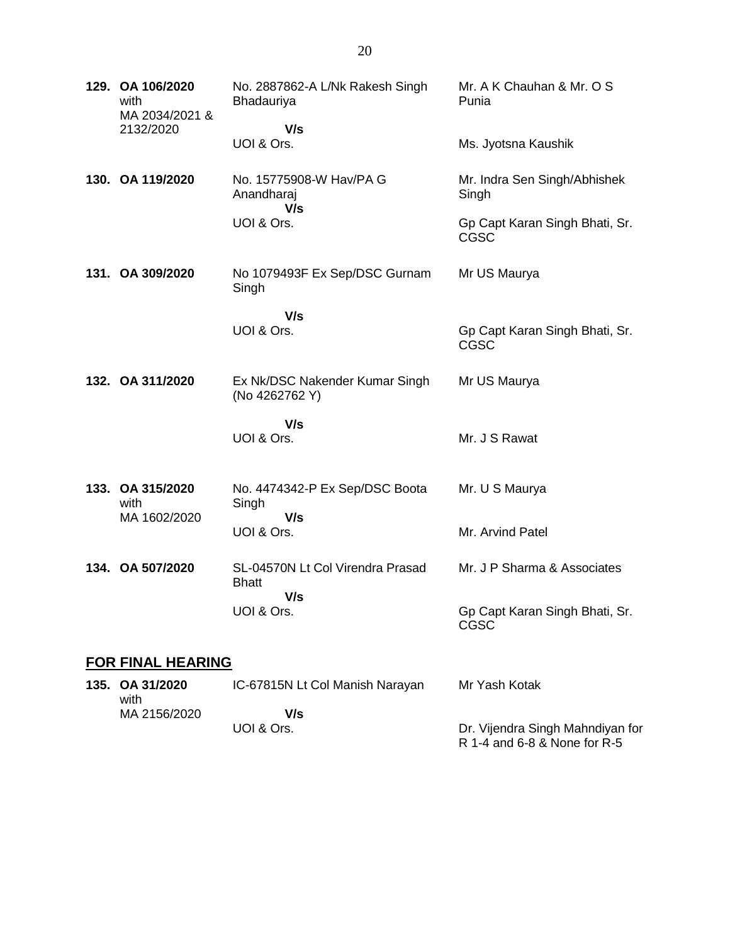| 129. OA 106/2020<br>with<br>MA 2034/2021 & | No. 2887862-A L/Nk Rakesh Singh<br>Bhadauriya    | Mr. A K Chauhan & Mr. O S<br>Punia            |
|--------------------------------------------|--------------------------------------------------|-----------------------------------------------|
| 2132/2020                                  | V/s<br>UOI & Ors.                                | Ms. Jyotsna Kaushik                           |
| 130. OA 119/2020                           | No. 15775908-W Hav/PA G<br>Anandharaj<br>V/s     | Mr. Indra Sen Singh/Abhishek<br>Singh         |
|                                            | UOI & Ors.                                       | Gp Capt Karan Singh Bhati, Sr.<br><b>CGSC</b> |
| 131. OA 309/2020                           | No 1079493F Ex Sep/DSC Gurnam<br>Singh           | Mr US Maurya                                  |
|                                            | V/s<br>UOI & Ors.                                | Gp Capt Karan Singh Bhati, Sr.<br>CGSC        |
| 132. OA 311/2020                           | Ex Nk/DSC Nakender Kumar Singh<br>(No 4262762 Y) | Mr US Maurya                                  |
|                                            | V/s<br>UOI & Ors.                                | Mr. J S Rawat                                 |
| 133. OA 315/2020<br>with                   | No. 4474342-P Ex Sep/DSC Boota<br>Singh          | Mr. U S Maurya                                |
| MA 1602/2020                               | V/s<br>UOI & Ors.                                | Mr. Arvind Patel                              |
| 134. OA 507/2020                           | SL-04570N Lt Col Virendra Prasad<br><b>Bhatt</b> | Mr. J P Sharma & Associates                   |
|                                            | V/s<br>UOI & Ors.                                | Gp Capt Karan Singh Bhati, Sr.<br>CGSC        |
| <b>FOR FINAL HEARING</b>                   |                                                  |                                               |
|                                            |                                                  |                                               |

**135. OA 31/2020** with MA 2156/2020 IC-67815N Lt Col Manish Narayan  **V/s** UOI & Ors. Mr Yash Kotak Dr. Vijendra Singh Mahndiyan for R 1-4 and 6-8 & None for R-5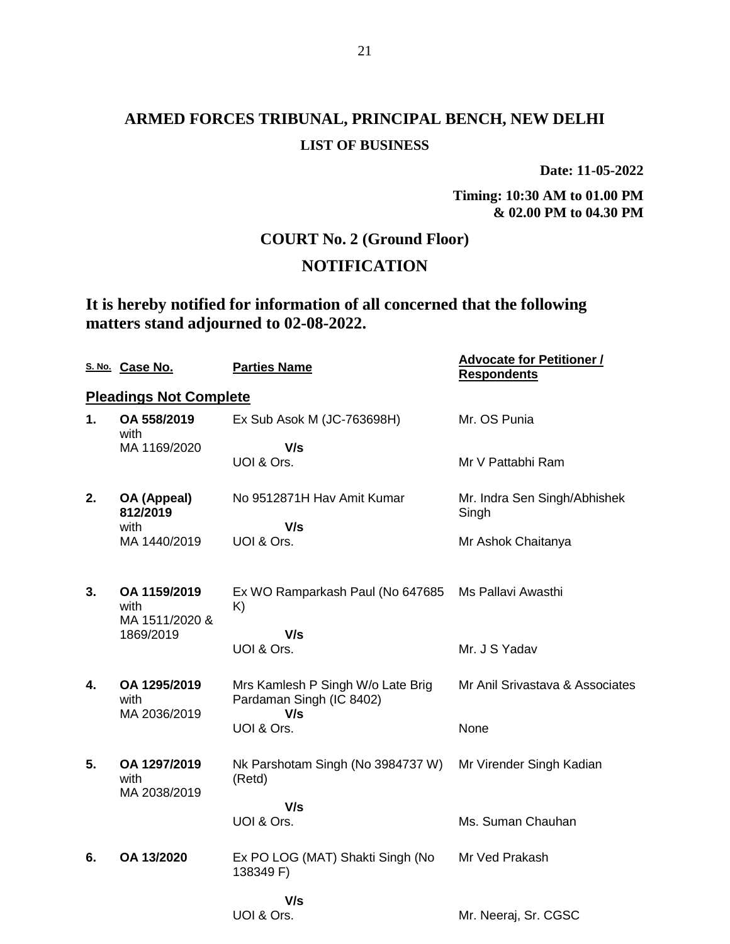## **ARMED FORCES TRIBUNAL, PRINCIPAL BENCH, NEW DELHI LIST OF BUSINESS**

**Date: 11-05-2022**

**Timing: 10:30 AM to 01.00 PM & 02.00 PM to 04.30 PM**

## **COURT No. 2 (Ground Floor)**

## **NOTIFICATION**

## **It is hereby notified for information of all concerned that the following matters stand adjourned to 02-08-2022.**

|    | S. No. Case No.                        | <b>Parties Name</b>                                           | <b>Advocate for Petitioner /</b><br><b>Respondents</b> |
|----|----------------------------------------|---------------------------------------------------------------|--------------------------------------------------------|
|    | <b>Pleadings Not Complete</b>          |                                                               |                                                        |
| 1. | OA 558/2019<br>with                    | Ex Sub Asok M (JC-763698H)                                    | Mr. OS Punia                                           |
|    | MA 1169/2020                           | V/s<br>UOI & Ors.                                             | Mr V Pattabhi Ram                                      |
| 2. | OA (Appeal)<br>812/2019                | No 9512871H Hav Amit Kumar                                    | Mr. Indra Sen Singh/Abhishek<br>Singh                  |
|    | with<br>MA 1440/2019                   | V/s<br>UOI & Ors.                                             | Mr Ashok Chaitanya                                     |
| 3. | OA 1159/2019<br>with<br>MA 1511/2020 & | Ex WO Ramparkash Paul (No 647685<br>K)                        | Ms Pallavi Awasthi                                     |
|    | 1869/2019                              | V/s<br>UOI & Ors.                                             | Mr. J S Yadav                                          |
| 4. | OA 1295/2019<br>with                   | Mrs Kamlesh P Singh W/o Late Brig<br>Pardaman Singh (IC 8402) | Mr Anil Srivastava & Associates                        |
|    | MA 2036/2019                           | V/s<br>UOI & Ors.                                             | None                                                   |
| 5. | OA 1297/2019<br>with<br>MA 2038/2019   | Nk Parshotam Singh (No 3984737 W)<br>(Retd)                   | Mr Virender Singh Kadian                               |
|    |                                        | V/s<br>UOI & Ors.                                             | Ms. Suman Chauhan                                      |
| 6. | OA 13/2020                             | Ex PO LOG (MAT) Shakti Singh (No<br>138349 F)                 | Mr Ved Prakash                                         |
|    |                                        | V/s<br>UOI & Ors.                                             | Mr. Neeraj, Sr. CGSC                                   |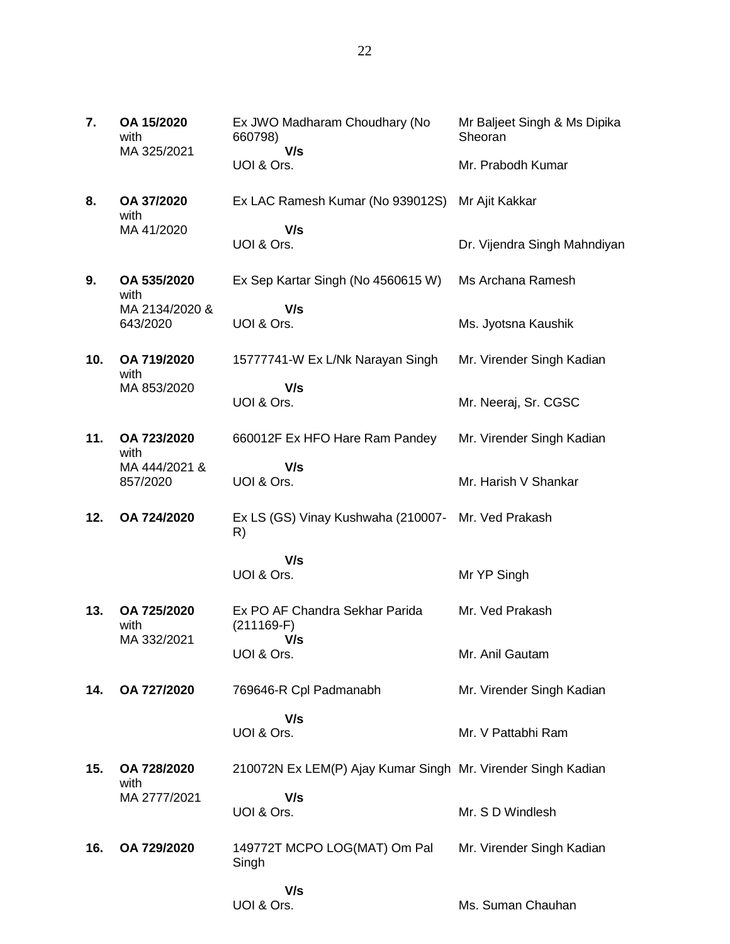| 7.  | OA 15/2020<br>with<br>MA 325/2021 | Ex JWO Madharam Choudhary (No<br>660798)<br>V/s              | Mr Baljeet Singh & Ms Dipika<br>Sheoran |
|-----|-----------------------------------|--------------------------------------------------------------|-----------------------------------------|
|     |                                   | UOI & Ors.                                                   | Mr. Prabodh Kumar                       |
| 8.  | OA 37/2020<br>with                | Ex LAC Ramesh Kumar (No 939012S)                             | Mr Ajit Kakkar                          |
|     | MA 41/2020                        | V/s<br>UOI & Ors.                                            | Dr. Vijendra Singh Mahndiyan            |
| 9.  | OA 535/2020<br>with               | Ex Sep Kartar Singh (No 4560615 W)                           | Ms Archana Ramesh                       |
|     | MA 2134/2020 &<br>643/2020        | V/s<br>UOI & Ors.                                            | Ms. Jyotsna Kaushik                     |
| 10. | OA 719/2020<br>with               | 15777741-W Ex L/Nk Narayan Singh                             | Mr. Virender Singh Kadian               |
|     | MA 853/2020                       | V/s<br>UOI & Ors.                                            | Mr. Neeraj, Sr. CGSC                    |
| 11. | OA 723/2020<br>with               | 660012F Ex HFO Hare Ram Pandey                               | Mr. Virender Singh Kadian               |
|     | MA 444/2021 &<br>857/2020         | V/s<br>UOI & Ors.                                            | Mr. Harish V Shankar                    |
| 12. | OA 724/2020                       | Ex LS (GS) Vinay Kushwaha (210007- Mr. Ved Prakash<br>R)     |                                         |
|     |                                   | V/s<br>UOI & Ors.                                            | Mr YP Singh                             |
| 13. | OA 725/2020<br>with               | Ex PO AF Chandra Sekhar Parida<br>$(211169-F)$               | Mr. Ved Prakash                         |
|     | MA 332/2021                       | V/s<br>UOI & Ors.                                            | Mr. Anil Gautam                         |
| 14. | OA 727/2020                       | 769646-R Cpl Padmanabh                                       | Mr. Virender Singh Kadian               |
|     |                                   | V/s<br>UOI & Ors.                                            | Mr. V Pattabhi Ram                      |
| 15. | OA 728/2020<br>with               | 210072N Ex LEM(P) Ajay Kumar Singh Mr. Virender Singh Kadian |                                         |
|     | MA 2777/2021                      | V/s<br>UOI & Ors.                                            | Mr. S D Windlesh                        |
| 16. | OA 729/2020                       | 149772T MCPO LOG(MAT) Om Pal<br>Singh                        | Mr. Virender Singh Kadian               |

 **V/s**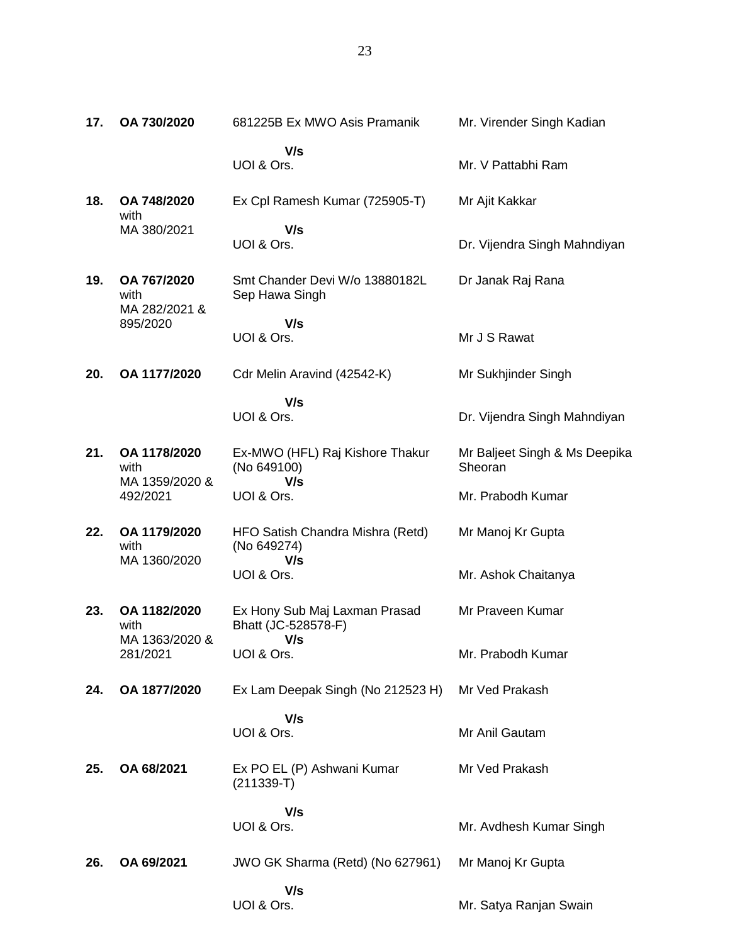| 17. | OA 730/2020                            | 681225B Ex MWO Asis Pramanik                          | Mr. Virender Singh Kadian                |
|-----|----------------------------------------|-------------------------------------------------------|------------------------------------------|
|     |                                        | V/s<br>UOI & Ors.                                     | Mr. V Pattabhi Ram                       |
| 18. | OA 748/2020<br>with                    | Ex Cpl Ramesh Kumar (725905-T)                        | Mr Ajit Kakkar                           |
|     | MA 380/2021                            | V/s<br>UOI & Ors.                                     | Dr. Vijendra Singh Mahndiyan             |
| 19. | OA 767/2020<br>with<br>MA 282/2021 &   | Smt Chander Devi W/o 13880182L<br>Sep Hawa Singh      | Dr Janak Raj Rana                        |
|     | 895/2020                               | V/s                                                   |                                          |
|     |                                        | UOI & Ors.                                            | Mr J S Rawat                             |
| 20. | OA 1177/2020                           | Cdr Melin Aravind (42542-K)                           | Mr Sukhjinder Singh                      |
|     |                                        | V/s                                                   |                                          |
|     |                                        | UOI & Ors.                                            | Dr. Vijendra Singh Mahndiyan             |
| 21. | OA 1178/2020<br>with<br>MA 1359/2020 & | Ex-MWO (HFL) Raj Kishore Thakur<br>(No 649100)<br>V/s | Mr Baljeet Singh & Ms Deepika<br>Sheoran |
|     | 492/2021                               | UOI & Ors.                                            | Mr. Prabodh Kumar                        |
| 22. | OA 1179/2020<br>with                   | HFO Satish Chandra Mishra (Retd)<br>(No 649274)       | Mr Manoj Kr Gupta                        |
|     | MA 1360/2020                           | V/s<br>UOI & Ors.                                     | Mr. Ashok Chaitanya                      |
| 23. | OA 1182/2020<br>with                   | Ex Hony Sub Maj Laxman Prasad<br>Bhatt (JC-528578-F)  | Mr Praveen Kumar                         |
|     | MA 1363/2020 &<br>281/2021             | V/s<br>UOI & Ors.                                     | Mr. Prabodh Kumar                        |
| 24. | OA 1877/2020                           | Ex Lam Deepak Singh (No 212523 H)                     | Mr Ved Prakash                           |
|     |                                        | V/s<br>UOI & Ors.                                     | Mr Anil Gautam                           |
| 25. | OA 68/2021                             | Ex PO EL (P) Ashwani Kumar<br>$(211339-T)$            | Mr Ved Prakash                           |
|     |                                        | V/s                                                   |                                          |
|     |                                        | UOI & Ors.                                            | Mr. Avdhesh Kumar Singh                  |
| 26. | OA 69/2021                             | JWO GK Sharma (Retd) (No 627961)                      | Mr Manoj Kr Gupta                        |
|     |                                        | V/s<br>UOI & Ors.                                     | Mr. Satya Ranjan Swain                   |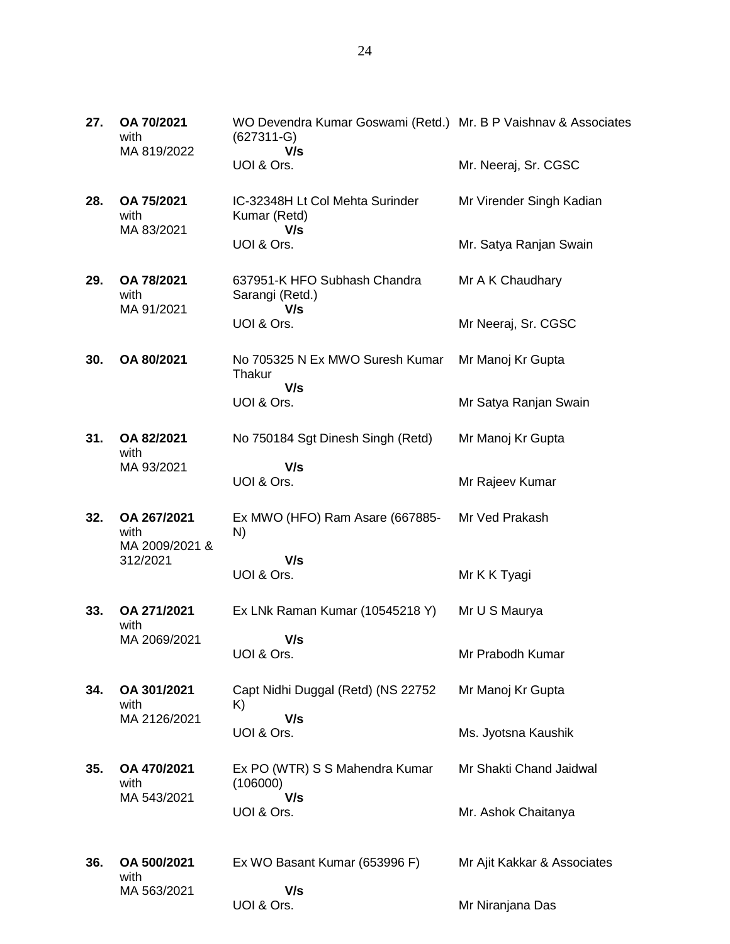| 27. | OA 70/2021<br>with<br>MA 819/2022     | WO Devendra Kumar Goswami (Retd.) Mr. B P Vaishnav & Associates<br>$(627311 - G)$<br>V/s |                             |
|-----|---------------------------------------|------------------------------------------------------------------------------------------|-----------------------------|
|     |                                       | UOI & Ors.                                                                               | Mr. Neeraj, Sr. CGSC        |
| 28. | OA 75/2021<br>with<br>MA 83/2021      | IC-32348H Lt Col Mehta Surinder<br>Kumar (Retd)<br>V/s                                   | Mr Virender Singh Kadian    |
|     |                                       | UOI & Ors.                                                                               | Mr. Satya Ranjan Swain      |
| 29. | OA 78/2021<br>with<br>MA 91/2021      | 637951-K HFO Subhash Chandra<br>Sarangi (Retd.)<br>V/s                                   | Mr A K Chaudhary            |
|     |                                       | UOI & Ors.                                                                               | Mr Neeraj, Sr. CGSC         |
| 30. | OA 80/2021                            | No 705325 N Ex MWO Suresh Kumar<br>Thakur<br>V/s                                         | Mr Manoj Kr Gupta           |
|     |                                       | UOI & Ors.                                                                               | Mr Satya Ranjan Swain       |
| 31. | OA 82/2021<br>with                    | No 750184 Sgt Dinesh Singh (Retd)                                                        | Mr Manoj Kr Gupta           |
|     | MA 93/2021                            | V/s<br>UOI & Ors.                                                                        | Mr Rajeev Kumar             |
| 32. | OA 267/2021<br>with<br>MA 2009/2021 & | Ex MWO (HFO) Ram Asare (667885-<br>N)                                                    | Mr Ved Prakash              |
|     | 312/2021                              | V/s<br>UOI & Ors.                                                                        | Mr K K Tyagi                |
| 33. | OA 271/2021<br>with                   | Ex LNk Raman Kumar (10545218 Y)                                                          | Mr U S Maurya               |
|     | MA 2069/2021                          | V/s<br>UOI & Ors.                                                                        | Mr Prabodh Kumar            |
| 34. | OA 301/2021<br>with                   | Capt Nidhi Duggal (Retd) (NS 22752<br>K)                                                 | Mr Manoj Kr Gupta           |
|     | MA 2126/2021                          | V/s<br>UOI & Ors.                                                                        | Ms. Jyotsna Kaushik         |
| 35. | OA 470/2021<br>with                   | Ex PO (WTR) S S Mahendra Kumar<br>(106000)                                               | Mr Shakti Chand Jaidwal     |
|     | MA 543/2021                           | V/s<br>UOI & Ors.                                                                        | Mr. Ashok Chaitanya         |
| 36. | OA 500/2021<br>with                   | Ex WO Basant Kumar (653996 F)                                                            | Mr Ajit Kakkar & Associates |

 **V/s** UOI & Ors.

MA 563/2021

Mr Niranjana Das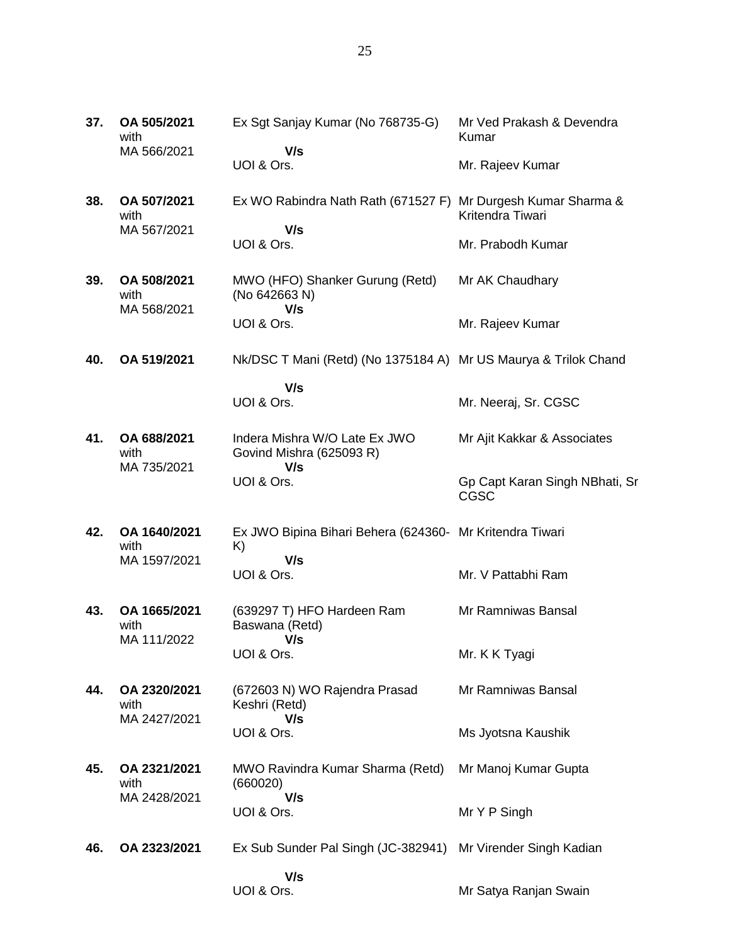| 37. | OA 505/2021<br>with<br>MA 566/2021  | Ex Sgt Sanjay Kumar (No 768735-G)<br>V/s                        | Mr Ved Prakash & Devendra<br>Kumar            |
|-----|-------------------------------------|-----------------------------------------------------------------|-----------------------------------------------|
|     |                                     | UOI & Ors.                                                      | Mr. Rajeev Kumar                              |
| 38. | OA 507/2021<br>with                 | Ex WO Rabindra Nath Rath (671527 F)                             | Mr Durgesh Kumar Sharma &<br>Kritendra Tiwari |
|     | MA 567/2021                         | V/s<br>UOI & Ors.                                               | Mr. Prabodh Kumar                             |
| 39. | OA 508/2021<br>with                 | MWO (HFO) Shanker Gurung (Retd)<br>(No 642663 N)<br>V/s         | Mr AK Chaudhary                               |
|     | MA 568/2021                         | UOI & Ors.                                                      | Mr. Rajeev Kumar                              |
| 40. | OA 519/2021                         | Nk/DSC T Mani (Retd) (No 1375184 A) Mr US Maurya & Trilok Chand |                                               |
|     |                                     | V/s<br>UOI & Ors.                                               | Mr. Neeraj, Sr. CGSC                          |
| 41. | OA 688/2021<br>with<br>MA 735/2021  | Indera Mishra W/O Late Ex JWO<br>Govind Mishra (625093 R)       | Mr Ajit Kakkar & Associates                   |
|     |                                     | V/s<br>UOI & Ors.                                               | Gp Capt Karan Singh NBhati, Sr<br><b>CGSC</b> |
| 42. | OA 1640/2021<br>with                | Ex JWO Bipina Bihari Behera (624360- Mr Kritendra Tiwari<br>K)  |                                               |
|     | MA 1597/2021                        | V/s<br>UOI & Ors.                                               | Mr. V Pattabhi Ram                            |
| 43. | OA 1665/2021<br>with<br>MA 111/2022 | (639297 T) HFO Hardeen Ram<br>Baswana (Retd)<br>V/s             | Mr Ramniwas Bansal                            |
|     |                                     | UOI & Ors.                                                      | Mr. K K Tyagi                                 |
| 44. | OA 2320/2021<br>with                | (672603 N) WO Rajendra Prasad<br>Keshri (Retd)                  | Mr Ramniwas Bansal                            |
|     | MA 2427/2021                        | V/s<br>UOI & Ors.                                               | Ms Jyotsna Kaushik                            |
| 45. | OA 2321/2021<br>with                | MWO Ravindra Kumar Sharma (Retd)<br>(660020)                    | Mr Manoj Kumar Gupta                          |

**46. OA 2323/2021** Ex Sub Sunder Pal Singh (JC-382941) Mr Virender Singh Kadian

**37.** 

**38.** 

**39. OA 508/2021**

**41.** 

**42.** 

**43.** 

**44.** 

**45.** 

MA 2428/2021

 **V/s** UOI & Ors.

 **V/s** UOI & Ors.

Mr Satya Ranjan Swain

Mr Y P Singh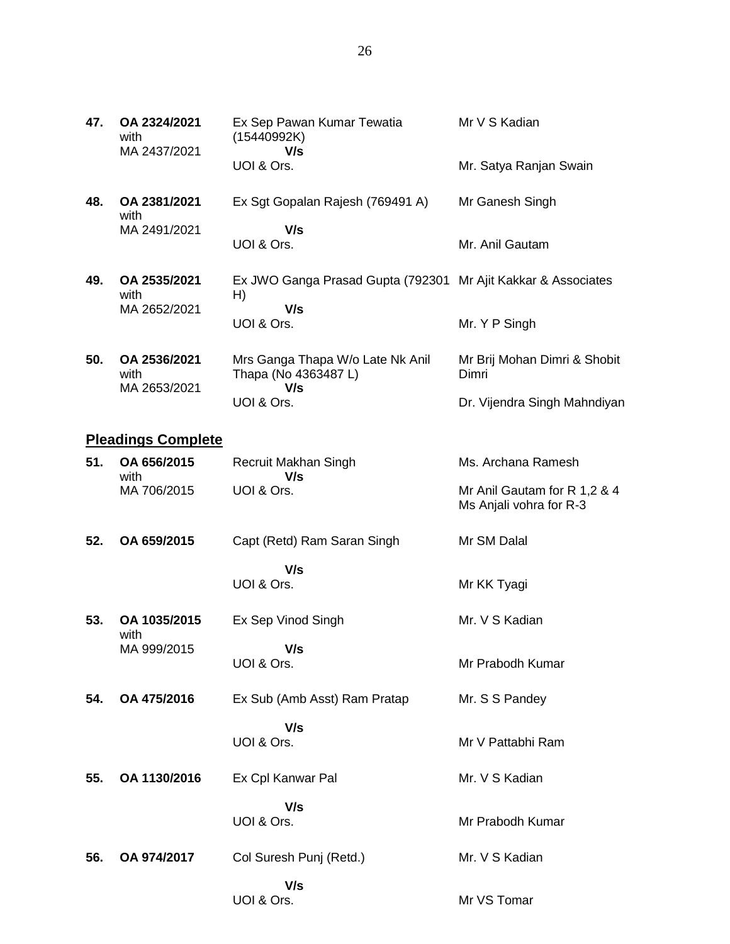| 47. | OA 2324/2021<br>with<br>MA 2437/2021 | Ex Sep Pawan Kumar Tewatia<br>(15440992K)<br>V/s                           | Mr V S Kadian                         |
|-----|--------------------------------------|----------------------------------------------------------------------------|---------------------------------------|
|     |                                      | UOI & Ors.                                                                 | Mr. Satya Ranjan Swain                |
| 48. | OA 2381/2021<br>with                 | Ex Sgt Gopalan Rajesh (769491 A)                                           | Mr Ganesh Singh                       |
|     | MA 2491/2021                         | V/s<br>UOI & Ors.                                                          | Mr. Anil Gautam                       |
| 49. | OA 2535/2021<br>with<br>MA 2652/2021 | Ex JWO Ganga Prasad Gupta (792301 Mr Ajit Kakkar & Associates<br>H)<br>V/s |                                       |
|     |                                      | UOI & Ors.                                                                 | Mr. Y P Singh                         |
| 50. | OA 2536/2021<br>with<br>MA 2653/2021 | Mrs Ganga Thapa W/o Late Nk Anil<br>Thapa (No 4363487 L)<br>V/s            | Mr Brij Mohan Dimri & Shobit<br>Dimri |
|     |                                      | UOI & Ors.                                                                 | Dr. Vijendra Singh Mahndiyan          |

# **Pleadings Complete**

| 51. | OA 656/2015<br>with  | Recruit Makhan Singh<br>V/s  | Ms. Archana Ramesh                                      |
|-----|----------------------|------------------------------|---------------------------------------------------------|
|     | MA 706/2015          | UOI & Ors.                   | Mr Anil Gautam for R 1,2 & 4<br>Ms Anjali vohra for R-3 |
| 52. | OA 659/2015          | Capt (Retd) Ram Saran Singh  | Mr SM Dalal                                             |
|     |                      | V/s<br>UOI & Ors.            | Mr KK Tyagi                                             |
| 53. | OA 1035/2015<br>with | Ex Sep Vinod Singh           | Mr. V S Kadian                                          |
|     | MA 999/2015          | V/s<br>UOI & Ors.            | Mr Prabodh Kumar                                        |
| 54. | OA 475/2016          | Ex Sub (Amb Asst) Ram Pratap | Mr. S S Pandey                                          |
|     |                      | V/s<br>UOI & Ors.            | Mr V Pattabhi Ram                                       |
| 55. | OA 1130/2016         | Ex Cpl Kanwar Pal            | Mr. V S Kadian                                          |
|     |                      | V/s<br>UOI & Ors.            | Mr Prabodh Kumar                                        |
| 56. | OA 974/2017          | Col Suresh Punj (Retd.)      | Mr. V S Kadian                                          |
|     |                      | V/s<br>UOI & Ors.            | Mr VS Tomar                                             |

26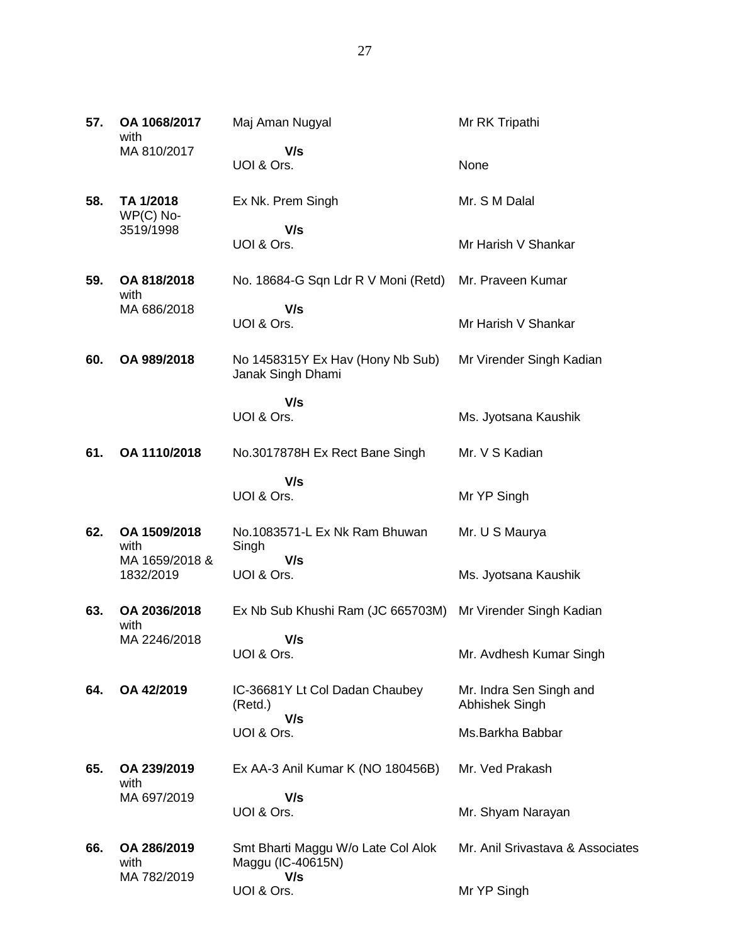| 57. | OA 1068/2017<br>with                   | Maj Aman Nugyal                                                | Mr RK Tripathi                            |
|-----|----------------------------------------|----------------------------------------------------------------|-------------------------------------------|
|     | MA 810/2017                            | V/s<br>UOI & Ors.                                              | None                                      |
| 58. | TA 1/2018<br>$WP(C)$ No-               | Ex Nk. Prem Singh                                              | Mr. S M Dalal                             |
|     | 3519/1998                              | V/s<br>UOI & Ors.                                              | Mr Harish V Shankar                       |
| 59. | OA 818/2018<br>with                    | No. 18684-G Sqn Ldr R V Moni (Retd)                            | Mr. Praveen Kumar                         |
|     | MA 686/2018                            | V/s<br>UOI & Ors.                                              | Mr Harish V Shankar                       |
| 60. | OA 989/2018                            | No 1458315Y Ex Hav (Hony Nb Sub)<br>Janak Singh Dhami          | Mr Virender Singh Kadian                  |
|     |                                        | V/s<br>UOI & Ors.                                              | Ms. Jyotsana Kaushik                      |
| 61. | OA 1110/2018                           | No.3017878H Ex Rect Bane Singh                                 | Mr. V S Kadian                            |
|     |                                        | V/s<br>UOI & Ors.                                              | Mr YP Singh                               |
| 62. | OA 1509/2018<br>with<br>MA 1659/2018 & | No.1083571-L Ex Nk Ram Bhuwan<br>Singh<br>V/s                  | Mr. U S Maurya                            |
|     | 1832/2019                              | UOI & Ors.                                                     | Ms. Jyotsana Kaushik                      |
| 63. | OA 2036/2018<br>with                   | Ex Nb Sub Khushi Ram (JC 665703M)                              | Mr Virender Singh Kadian                  |
|     | MA 2246/2018                           | V/s<br>UOI & Ors.                                              | Mr. Avdhesh Kumar Singh                   |
| 64. | OA 42/2019                             | IC-36681Y Lt Col Dadan Chaubey<br>(Retd.)<br>V/s               | Mr. Indra Sen Singh and<br>Abhishek Singh |
|     |                                        | UOI & Ors.                                                     | Ms.Barkha Babbar                          |
| 65. | OA 239/2019<br>with                    | Ex AA-3 Anil Kumar K (NO 180456B)                              | Mr. Ved Prakash                           |
|     | MA 697/2019                            | V/s<br>UOI & Ors.                                              | Mr. Shyam Narayan                         |
| 66. | OA 286/2019<br>with<br>MA 782/2019     | Smt Bharti Maggu W/o Late Col Alok<br>Maggu (IC-40615N)<br>V/s | Mr. Anil Srivastava & Associates          |
|     |                                        | UOI & Ors.                                                     | Mr YP Singh                               |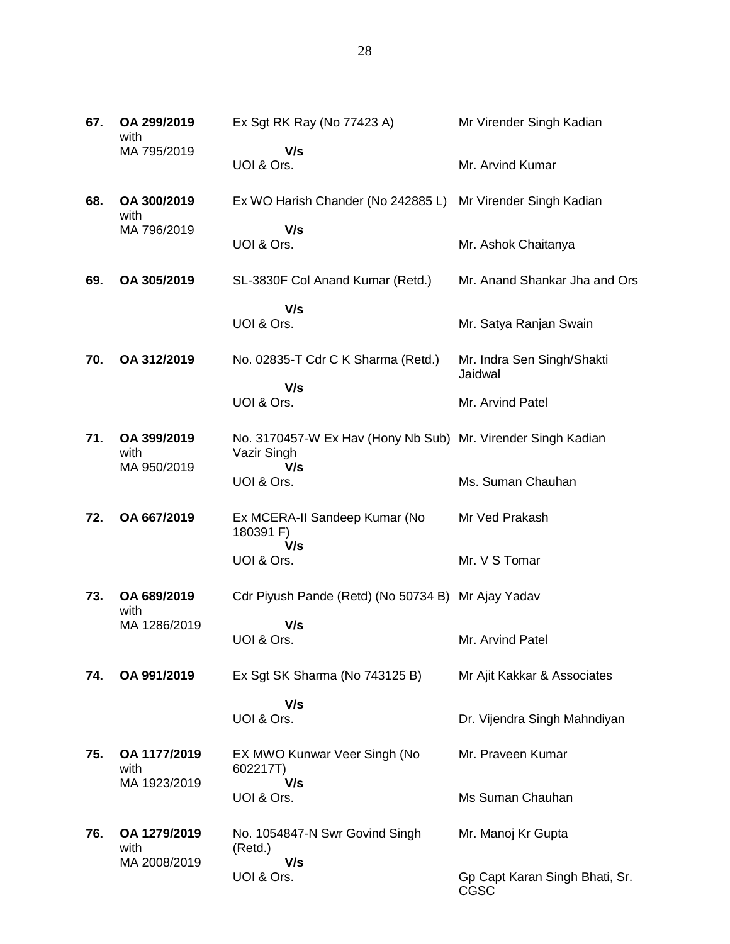| 67. | OA 299/2019<br>with  | Ex Sgt RK Ray (No 77423 A)                                                  | Mr Virender Singh Kadian               |
|-----|----------------------|-----------------------------------------------------------------------------|----------------------------------------|
|     | MA 795/2019          | V/s<br>UOI & Ors.                                                           | Mr. Arvind Kumar                       |
| 68. | OA 300/2019<br>with  | Ex WO Harish Chander (No 242885 L)                                          | Mr Virender Singh Kadian               |
|     | MA 796/2019          | V/s<br>UOI & Ors.                                                           | Mr. Ashok Chaitanya                    |
| 69. | OA 305/2019          | SL-3830F Col Anand Kumar (Retd.)                                            | Mr. Anand Shankar Jha and Ors          |
|     |                      | V/s<br>UOI & Ors.                                                           | Mr. Satya Ranjan Swain                 |
| 70. | OA 312/2019          | No. 02835-T Cdr C K Sharma (Retd.)                                          | Mr. Indra Sen Singh/Shakti<br>Jaidwal  |
|     |                      | V/s<br>UOI & Ors.                                                           | Mr. Arvind Patel                       |
| 71. | OA 399/2019<br>with  | No. 3170457-W Ex Hav (Hony Nb Sub) Mr. Virender Singh Kadian<br>Vazir Singh |                                        |
|     | MA 950/2019          | V/s<br>UOI & Ors.                                                           | Ms. Suman Chauhan                      |
| 72. | OA 667/2019          | Ex MCERA-II Sandeep Kumar (No<br>180391 F)                                  | Mr Ved Prakash                         |
|     |                      | V/s<br>UOI & Ors.                                                           | Mr. V S Tomar                          |
| 73. | OA 689/2019<br>with  | Cdr Piyush Pande (Retd) (No 50734 B) Mr Ajay Yadav                          |                                        |
|     | MA 1286/2019         | V/s<br>UOI & Ors.                                                           | Mr. Arvind Patel                       |
| 74. | OA 991/2019          | Ex Sgt SK Sharma (No 743125 B)                                              | Mr Ajit Kakkar & Associates            |
|     |                      | V/s<br>UOI & Ors.                                                           | Dr. Vijendra Singh Mahndiyan           |
| 75. | OA 1177/2019<br>with | EX MWO Kunwar Veer Singh (No<br>602217T)                                    | Mr. Praveen Kumar                      |
|     | MA 1923/2019         | V/s<br>UOI & Ors.                                                           | Ms Suman Chauhan                       |
| 76. | OA 1279/2019<br>with | No. 1054847-N Swr Govind Singh<br>(Retd.)                                   | Mr. Manoj Kr Gupta                     |
|     | MA 2008/2019         | V/s<br>UOI & Ors.                                                           | Gp Capt Karan Singh Bhati, Sr.<br>CGSC |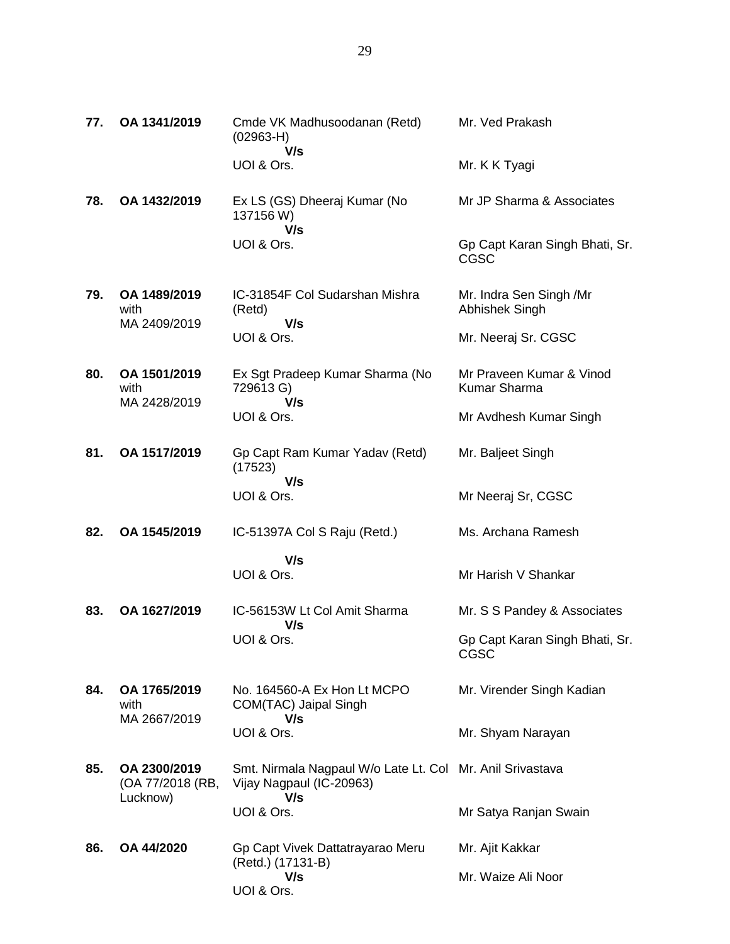| 77. | OA 1341/2019                                 | Cmde VK Madhusoodanan (Retd)<br>$(02963-H)$<br>V/s                                           | Mr. Ved Prakash                                 |
|-----|----------------------------------------------|----------------------------------------------------------------------------------------------|-------------------------------------------------|
|     |                                              | UOI & Ors.                                                                                   | Mr. K K Tyagi                                   |
| 78. | OA 1432/2019                                 | Ex LS (GS) Dheeraj Kumar (No<br>137156 W)<br>V/s                                             | Mr JP Sharma & Associates                       |
|     |                                              | UOI & Ors.                                                                                   | Gp Capt Karan Singh Bhati, Sr.<br><b>CGSC</b>   |
| 79. | OA 1489/2019<br>with<br>MA 2409/2019         | IC-31854F Col Sudarshan Mishra<br>(Retd)<br>V/s                                              | Mr. Indra Sen Singh /Mr<br>Abhishek Singh       |
|     |                                              | UOI & Ors.                                                                                   | Mr. Neeraj Sr. CGSC                             |
| 80. | OA 1501/2019<br>with<br>MA 2428/2019         | Ex Sgt Pradeep Kumar Sharma (No<br>729613 G)<br>V/s                                          | Mr Praveen Kumar & Vinod<br><b>Kumar Sharma</b> |
|     |                                              | UOI & Ors.                                                                                   | Mr Avdhesh Kumar Singh                          |
| 81. | OA 1517/2019                                 | Gp Capt Ram Kumar Yadav (Retd)<br>(17523)                                                    | Mr. Baljeet Singh                               |
|     |                                              | V/s<br>UOI & Ors.                                                                            | Mr Neeraj Sr, CGSC                              |
| 82. | OA 1545/2019                                 | IC-51397A Col S Raju (Retd.)                                                                 | Ms. Archana Ramesh                              |
|     |                                              | V/s<br>UOI & Ors.                                                                            | Mr Harish V Shankar                             |
| 83. | OA 1627/2019                                 | IC-56153W Lt Col Amit Sharma<br>V/s                                                          | Mr. S S Pandey & Associates                     |
|     |                                              | UOI & Ors.                                                                                   | Gp Capt Karan Singh Bhati, Sr.<br>CGSC          |
| 84. | OA 1765/2019<br>with<br>MA 2667/2019         | No. 164560-A Ex Hon Lt MCPO<br>COM(TAC) Jaipal Singh<br>V/s                                  | Mr. Virender Singh Kadian                       |
|     |                                              | UOI & Ors.                                                                                   | Mr. Shyam Narayan                               |
| 85. | OA 2300/2019<br>(OA 77/2018 (RB,<br>Lucknow) | Smt. Nirmala Nagpaul W/o Late Lt. Col Mr. Anil Srivastava<br>Vijay Nagpaul (IC-20963)<br>V/s |                                                 |
|     |                                              | UOI & Ors.                                                                                   | Mr Satya Ranjan Swain                           |
| 86. | OA 44/2020                                   | Gp Capt Vivek Dattatrayarao Meru<br>(Retd.) (17131-B)                                        | Mr. Ajit Kakkar                                 |
|     |                                              | V/s<br>UOI & Ors.                                                                            | Mr. Waize Ali Noor                              |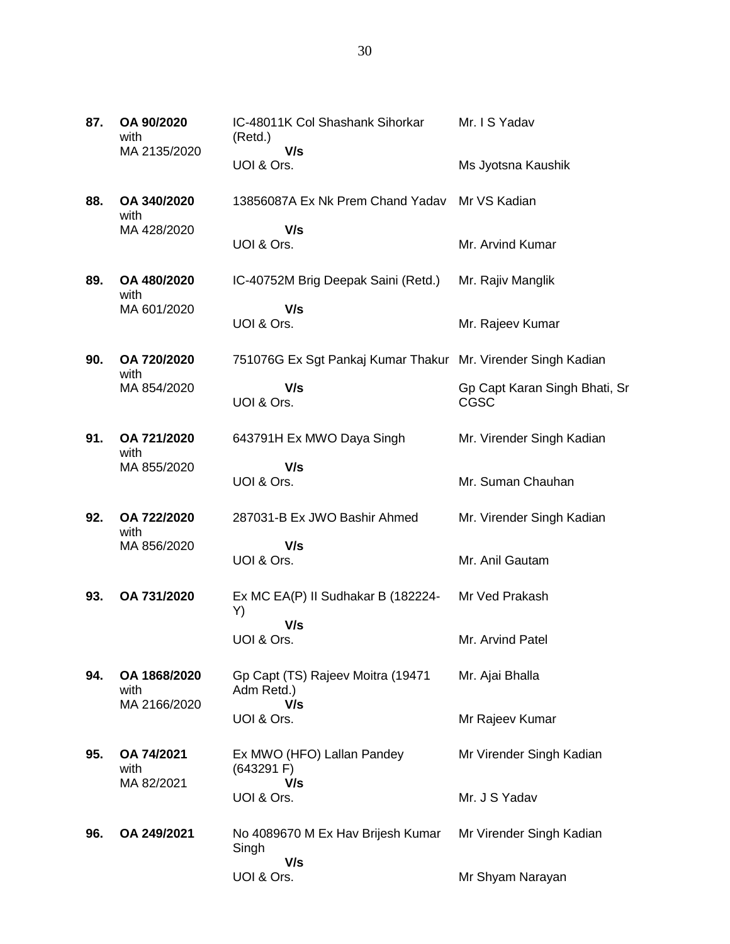| 87. | OA 90/2020<br>with<br>MA 2135/2020   | IC-48011K Col Shashank Sihorkar<br>(Retd.)<br>V/s            | Mr. I S Yadav                                |
|-----|--------------------------------------|--------------------------------------------------------------|----------------------------------------------|
|     |                                      | UOI & Ors.                                                   | Ms Jyotsna Kaushik                           |
| 88. | OA 340/2020<br>with                  | 13856087A Ex Nk Prem Chand Yadav                             | Mr VS Kadian                                 |
|     | MA 428/2020                          | V/s<br>UOI & Ors.                                            | Mr. Arvind Kumar                             |
| 89. | OA 480/2020<br>with                  | IC-40752M Brig Deepak Saini (Retd.)                          | Mr. Rajiv Manglik                            |
|     | MA 601/2020                          | V/s<br>UOI & Ors.                                            | Mr. Rajeev Kumar                             |
| 90. | OA 720/2020<br>with                  | 751076G Ex Sgt Pankaj Kumar Thakur Mr. Virender Singh Kadian |                                              |
|     | MA 854/2020                          | V/s<br>UOI & Ors.                                            | Gp Capt Karan Singh Bhati, Sr<br><b>CGSC</b> |
| 91. | OA 721/2020<br>with                  | 643791H Ex MWO Daya Singh                                    | Mr. Virender Singh Kadian                    |
|     | MA 855/2020                          | V/s<br>UOI & Ors.                                            | Mr. Suman Chauhan                            |
| 92. | OA 722/2020<br>with                  | 287031-B Ex JWO Bashir Ahmed                                 | Mr. Virender Singh Kadian                    |
|     | MA 856/2020                          | V/s<br>UOI & Ors.                                            | Mr. Anil Gautam                              |
| 93. | OA 731/2020                          | Ex MC EA(P) II Sudhakar B (182224-<br>Y)                     | Mr Ved Prakash                               |
|     |                                      | V/s<br>UOI & Ors.                                            | Mr. Arvind Patel                             |
| 94. | OA 1868/2020<br>with<br>MA 2166/2020 | Gp Capt (TS) Rajeev Moitra (19471<br>Adm Retd.)<br>V/s       | Mr. Ajai Bhalla                              |
|     |                                      | UOI & Ors.                                                   | Mr Rajeev Kumar                              |
| 95. | OA 74/2021<br>with<br>MA 82/2021     | Ex MWO (HFO) Lallan Pandey<br>(643291)<br>V/s                | Mr Virender Singh Kadian                     |
|     |                                      | UOI & Ors.                                                   | Mr. J S Yadav                                |
| 96. | OA 249/2021                          | No 4089670 M Ex Hav Brijesh Kumar<br>Singh<br>V/s            | Mr Virender Singh Kadian                     |

Mr Shyam Narayan